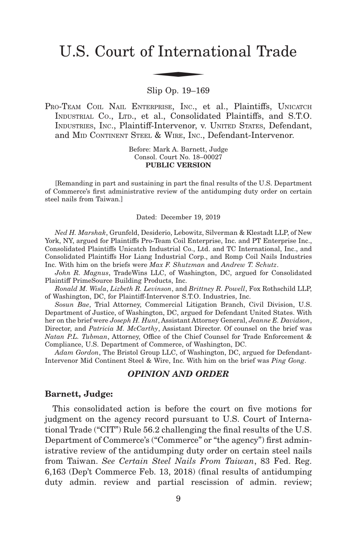# U.S. Court of International Trade f Interna

#### Slip Op. 19–169

PRO-TEAM COIL NAIL ENTERPRISE, INC., et al., Plaintiffs, UNICATCH INDUSTRIAL CO., LTD., et al., Consolidated Plaintiffs, and S.T.O. INDUSTRIES, INC., Plaintiff-Intervenor, v. UNITED STATES, Defendant, and MID CONTINENT STEEL & WIRE, INC., Defendant-Intervenor.

> Before: Mark A. Barnett, Judge Consol. Court No. 18–00027 **PUBLIC VERSION**

[Remanding in part and sustaining in part the final results of the U.S. Department of Commerce's first administrative review of the antidumping duty order on certain steel nails from Taiwan.]

#### Dated: December 19, 2019

*Ned H. Marshak*, Grunfeld, Desiderio, Lebowitz, Silverman & Klestadt LLP, of New York, NY, argued for Plaintiffs Pro-Team Coil Enterprise, Inc. and PT Enterprise Inc., Consolidated Plaintiffs Unicatch Industrial Co., Ltd. and TC International, Inc., and Consolidated Plaintiffs Hor Liang Industrial Corp., and Romp Coil Nails Industries Inc. With him on the briefs were *Max F. Shutzman* and *Andrew T. Schutz*.

*John R. Magnus*, TradeWins LLC, of Washington, DC, argued for Consolidated Plaintiff PrimeSource Building Products, Inc.

*Ronald M. Wisla*, *Lizbeth R. Levinson*, and *Brittney R. Powell*, Fox Rothschild LLP, of Washington, DC, for Plaintiff-Intervenor S.T.O. Industries, Inc.

*Sosun Bae*, Trial Attorney, Commercial Litigation Branch, Civil Division, U.S. Department of Justice, of Washington, DC, argued for Defendant United States. With her on the brief were *Joseph H. Hunt*, Assistant Attorney General, *Jeanne E. Davidson*, Director, and *Patricia M. McCarthy*, Assistant Director. Of counsel on the brief was *Natan P.L. Tubman*, Attorney, Office of the Chief Counsel for Trade Enforcement & Compliance, U.S. Department of Commerce, of Washington, DC.

*Adam Gordon*, The Bristol Group LLC, of Washington, DC, argued for Defendant-Intervenor Mid Continent Steel & Wire, Inc. With him on the brief was *Ping Gong*.

#### *OPINION AND ORDER*

#### **Barnett, Judge:**

This consolidated action is before the court on five motions for judgment on the agency record pursuant to U.S. Court of International Trade ("CIT") Rule 56.2 challenging the final results of the U.S. Department of Commerce's ("Commerce" or "the agency") first administrative review of the antidumping duty order on certain steel nails from Taiwan. *See Certain Steel Nails From Taiwan*, 83 Fed. Reg. 6,163 (Dep't Commerce Feb. 13, 2018) (final results of antidumping duty admin. review and partial rescission of admin. review;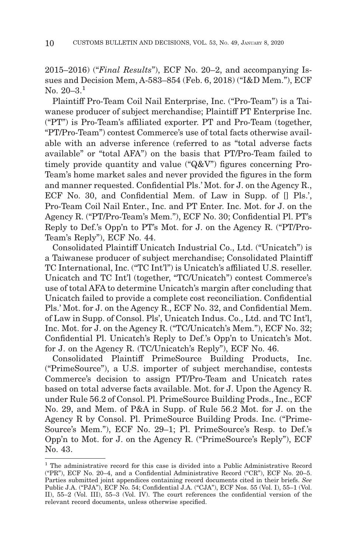2015–2016) ("*Final Results*"), ECF No. 20–2, and accompanying Issues and Decision Mem, A-583–854 (Feb. 6, 2018) ("I&D Mem."), ECF No.  $20-3.1$ 

Plaintiff Pro-Team Coil Nail Enterprise, Inc. ("Pro-Team") is a Taiwanese producer of subject merchandise; Plaintiff PT Enterprise Inc. ("PT") is Pro-Team's affiliated exporter. PT and Pro-Team (together, "PT/Pro-Team") contest Commerce's use of total facts otherwise available with an adverse inference (referred to as "total adverse facts available" or "total AFA") on the basis that PT/Pro-Team failed to timely provide quantity and value ("Q&V") figures concerning Pro-Team's home market sales and never provided the figures in the form and manner requested. Confidential Pls.' Mot. for J. on the Agency R., ECF No. 30, and Confidential Mem. of Law in Supp. of [] Pls.', Pro-Team Coil Nail Enter., Inc. and PT Enter. Inc. Mot. for J. on the Agency R. ("PT/Pro-Team's Mem."), ECF No. 30; Confidential Pl. PT's Reply to Def.'s Opp'n to PT's Mot. for J. on the Agency R. ("PT/Pro-Team's Reply"), ECF No. 44.

Consolidated Plaintiff Unicatch Industrial Co., Ltd. ("Unicatch") is a Taiwanese producer of subject merchandise; Consolidated Plaintiff TC International, Inc. ("TC Int'l") is Unicatch's affiliated U.S. reseller. Unicatch and TC Int'l (together, "TC/Unicatch") contest Commerce's use of total AFA to determine Unicatch's margin after concluding that Unicatch failed to provide a complete cost reconciliation. Confidential Pls.' Mot. for J. on the Agency R., ECF No. 32, and Confidential Mem. of Law in Supp. of Consol. Pls', Unicatch Indus. Co., Ltd. and TC Int'l, Inc. Mot. for J. on the Agency R. ("TC/Unicatch's Mem."), ECF No. 32; Confidential Pl. Unicatch's Reply to Def.'s Opp'n to Unicatch's Mot. for J. on the Agency R. (TC/Unicatch's Reply"), ECF No. 46.

Consolidated Plaintiff PrimeSource Building Products, Inc. ("PrimeSource"), a U.S. importer of subject merchandise, contests Commerce's decision to assign PT/Pro-Team and Unicatch rates based on total adverse facts available. Mot. for J. Upon the Agency R. under Rule 56.2 of Consol. Pl. PrimeSource Building Prods., Inc., ECF No. 29, and Mem. of P&A in Supp. of Rule 56.2 Mot. for J. on the Agency R by Consol. Pl. PrimeSource Building Prods. Inc. ("Prime-Source's Mem."), ECF No. 29–1; Pl. PrimeSource's Resp. to Def.'s Opp'n to Mot. for J. on the Agency R. ("PrimeSource's Reply"), ECF No. 43.

<sup>1</sup> The administrative record for this case is divided into a Public Administrative Record ("PR"), ECF No. 20–4, and a Confidential Administrative Record ("CR"), ECF No. 20–5. Parties submitted joint appendices containing record documents cited in their briefs. *See* Public J.A. ("PJA"), ECF No. 54; Confidential J.A. ("CJA"), ECF Nos. 55 (Vol. I), 55–1 (Vol. II), 55–2 (Vol. III), 55–3 (Vol. IV). The court references the confidential version of the relevant record documents, unless otherwise specified.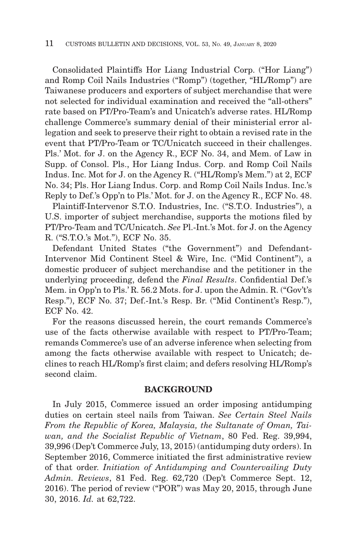Consolidated Plaintiffs Hor Liang Industrial Corp. ("Hor Liang") and Romp Coil Nails Industries ("Romp") (together, "HL/Romp") are Taiwanese producers and exporters of subject merchandise that were not selected for individual examination and received the "all-others" rate based on PT/Pro-Team's and Unicatch's adverse rates. HL/Romp challenge Commerce's summary denial of their ministerial error allegation and seek to preserve their right to obtain a revised rate in the event that PT/Pro-Team or TC/Unicatch succeed in their challenges. Pls.' Mot. for J. on the Agency R., ECF No. 34, and Mem. of Law in Supp. of Consol. Pls., Hor Liang Indus. Corp. and Romp Coil Nails Indus. Inc. Mot for J. on the Agency R. ("HL/Romp's Mem.") at 2, ECF No. 34; Pls. Hor Liang Indus. Corp. and Romp Coil Nails Indus. Inc.'s Reply to Def.'s Opp'n to Pls.' Mot. for J. on the Agency R., ECF No. 48.

Plaintiff-Intervenor S.T.O. Industries, Inc. ("S.T.O. Industries"), a U.S. importer of subject merchandise, supports the motions filed by PT/Pro-Team and TC/Unicatch. *See* Pl.-Int.'s Mot. for J. on the Agency R. ("S.T.O.'s Mot."), ECF No. 35.

Defendant United States ("the Government") and Defendant-Intervenor Mid Continent Steel & Wire, Inc. ("Mid Continent"), a domestic producer of subject merchandise and the petitioner in the underlying proceeding, defend the *Final Results*. Confidential Def.'s Mem. in Opp'n to Pls.' R. 56.2 Mots. for J. upon the Admin. R. ("Gov't's Resp."), ECF No. 37; Def.-Int.'s Resp. Br. ("Mid Continent's Resp."), ECF No. 42.

For the reasons discussed herein, the court remands Commerce's use of the facts otherwise available with respect to PT/Pro-Team; remands Commerce's use of an adverse inference when selecting from among the facts otherwise available with respect to Unicatch; declines to reach HL/Romp's first claim; and defers resolving HL/Romp's second claim.

## **BACKGROUND**

In July 2015, Commerce issued an order imposing antidumping duties on certain steel nails from Taiwan. *See Certain Steel Nails From the Republic of Korea, Malaysia, the Sultanate of Oman, Taiwan, and the Socialist Republic of Vietnam*, 80 Fed. Reg. 39,994, 39,996 (Dep't Commerce July, 13, 2015) (antidumping duty orders). In September 2016, Commerce initiated the first administrative review of that order. *Initiation of Antidumping and Countervailing Duty Admin. Reviews*, 81 Fed. Reg. 62,720 (Dep't Commerce Sept. 12, 2016). The period of review ("POR") was May 20, 2015, through June 30, 2016. *Id.* at 62,722.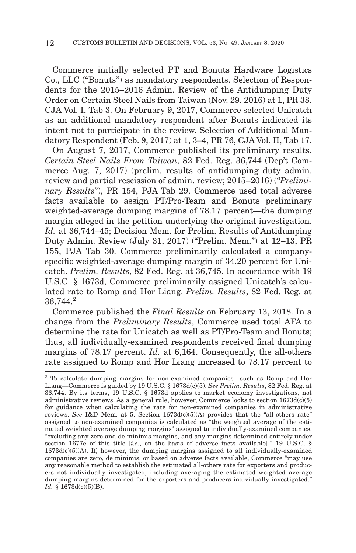Commerce initially selected PT and Bonuts Hardware Logistics Co., LLC ("Bonuts") as mandatory respondents. Selection of Respondents for the 2015–2016 Admin. Review of the Antidumping Duty Order on Certain Steel Nails from Taiwan (Nov. 29, 2016) at 1, PR 38, CJA Vol. I, Tab 3. On February 9, 2017, Commerce selected Unicatch as an additional mandatory respondent after Bonuts indicated its intent not to participate in the review. Selection of Additional Mandatory Respondent (Feb. 9, 2017) at 1, 3–4, PR 76, CJA Vol. II, Tab 17.

On August 7, 2017, Commerce published its preliminary results. *Certain Steel Nails From Taiwan*, 82 Fed. Reg. 36,744 (Dep't Commerce Aug. 7, 2017) (prelim. results of antidumping duty admin. review and partial rescission of admin. review; 2015–2016) ("*Preliminary Results*"), PR 154, PJA Tab 29. Commerce used total adverse facts available to assign PT/Pro-Team and Bonuts preliminary weighted-average dumping margins of 78.17 percent—the dumping margin alleged in the petition underlying the original investigation. *Id.* at 36,744–45; Decision Mem. for Prelim. Results of Antidumping Duty Admin. Review (July 31, 2017) ("Prelim. Mem.") at 12–13, PR 155, PJA Tab 30. Commerce preliminarily calculated a companyspecific weighted-average dumping margin of 34.20 percent for Unicatch. *Prelim. Results*, 82 Fed. Reg. at 36,745. In accordance with 19 U.S.C. § 1673d, Commerce preliminarily assigned Unicatch's calculated rate to Romp and Hor Liang. *Prelim. Results*, 82 Fed. Reg. at 36,744.<sup>2</sup>

Commerce published the *Final Results* on February 13, 2018. In a change from the *Preliminary Results*, Commerce used total AFA to determine the rate for Unicatch as well as PT/Pro-Team and Bonuts; thus, all individually-examined respondents received final dumping margins of 78.17 percent. *Id.* at 6,164. Consequently, the all-others rate assigned to Romp and Hor Liang increased to 78.17 percent to

<sup>2</sup> To calculate dumping margins for non-examined companies—such as Romp and Hor Liang—Commerce is guided by 19 U.S.C. § 1673d(c)(5). *See Prelim. Results*, 82 Fed. Reg. at 36,744. By its terms, 19 U.S.C. § 1673d applies to market economy investigations, not administrative reviews. As a general rule, however, Commerce looks to section  $1673d(c)(5)$ for guidance when calculating the rate for non-examined companies in administrative reviews. *See* I&D Mem. at 5. Section 1673d(c)(5)(A) provides that the "all-others rate" assigned to non-examined companies is calculated as "the weighted average of the estimated weighted average dumping margins" assigned to individually-examined companies, "excluding any zero and de minimis margins, and any margins determined entirely under section 1677e of this title [*i.e*., on the basis of adverse facts available]." 19 U.S.C. §  $1673d(c)(5)(A)$ . If, however, the dumping margins assigned to all individually-examined companies are zero, de minimis, or based on adverse facts available, Commerce "may use any reasonable method to establish the estimated all-others rate for exporters and producers not individually investigated, including averaging the estimated weighted average dumping margins determined for the exporters and producers individually investigated." *Id.* § 1673d(c)(5)(B).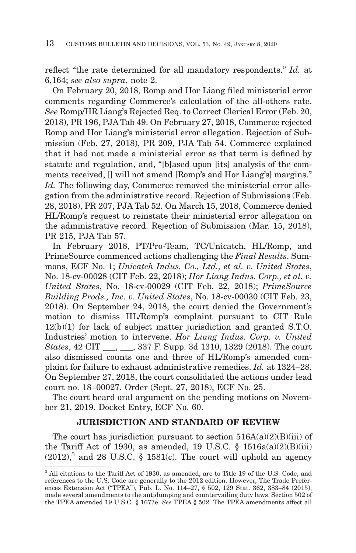reflect "the rate determined for all mandatory respondents." *Id.* at 6,164; *see also supra*, note 2.

On February 20, 2018, Romp and Hor Liang filed ministerial error comments regarding Commerce's calculation of the all-others rate. *See* Romp/HR Liang's Rejected Req. to Correct Clerical Error (Feb. 20, 2018), PR 196, PJA Tab 49. On February 27, 2018, Commerce rejected Romp and Hor Liang's ministerial error allegation. Rejection of Submission (Feb. 27, 2018), PR 209, PJA Tab 54. Commerce explained that it had not made a ministerial error as that term is defined by statute and regulation, and, "[b]ased upon [its] analysis of the comments received, [] will not amend [Romp's and Hor Liang's] margins." *Id.* The following day, Commerce removed the ministerial error allegation from the administrative record. Rejection of Submissions (Feb. 28, 2018), PR 207, PJA Tab 52. On March 15, 2018, Commerce denied HL/Romp's request to reinstate their ministerial error allegation on the administrative record. Rejection of Submission (Mar. 15, 2018), PR 215, PJA Tab 57.

In February 2018, PT/Pro-Team, TC/Unicatch, HL/Romp, and PrimeSource commenced actions challenging the *Final Results*. Summons, ECF No. 1; *Unicatch Indus. Co., Ltd., et al. v. United States*, No. 18-cv-00028 (CIT Feb. 22, 2018); *Hor Liang Indus. Corp., et al. v. United States*, No. 18-cv-00029 (CIT Feb. 22, 2018); *PrimeSource Building Prods., Inc. v. United States*, No. 18-cv-00030 (CIT Feb. 23, 2018). On September 24, 2018, the court denied the Government's motion to dismiss HL/Romp's complaint pursuant to CIT Rule 12(b)(1) for lack of subject matter jurisdiction and granted S.T.O. Industries' motion to intervene. *Hor Liang Indus. Corp. v. United States*, 42 CIT , 337 F. Supp. 3d 1310, 1329 (2018). The court also dismissed counts one and three of HL/Romp's amended complaint for failure to exhaust administrative remedies. *Id.* at 1324–28. On September 27, 2018, the court consolidated the actions under lead court no. 18–00027. Order (Sept. 27, 2018), ECF No. 25.

The court heard oral argument on the pending motions on November 21, 2019. Docket Entry, ECF No. 60.

## **JURISDICTION AND STANDARD OF REVIEW**

The court has jurisdiction pursuant to section  $516A(a)(2)(B)(iii)$  of the Tariff Act of 1930, as amended, 19 U.S.C.  $\S$  1516a(a)(2)(B)(iii)  $(2012)$ <sup>3</sup> and 28 U.S.C. § 1581(c). The court will uphold an agency

<sup>3</sup> All citations to the Tariff Act of 1930, as amended, are to Title 19 of the U.S. Code, and references to the U.S. Code are generally to the 2012 edition. However, The Trade Preferences Extension Act ("TPEA"), Pub. L. No. 114–27, § 502, 129 Stat. 362, 383–84 (2015), made several amendments to the antidumping and countervailing duty laws. Section 502 of the TPEA amended 19 U.S.C. § 1677e. *See* TPEA § 502. The TPEA amendments affect all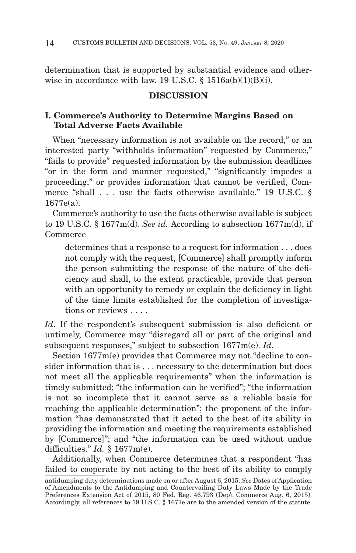determination that is supported by substantial evidence and otherwise in accordance with law.  $19 \text{ U.S.C.}$   $\& 1516a(b)(1)(B)(i)$ .

#### **DISCUSSION**

## **I. Commerce's Authority to Determine Margins Based on Total Adverse Facts Available**

When "necessary information is not available on the record," or an interested party "withholds information" requested by Commerce," "fails to provide" requested information by the submission deadlines "or in the form and manner requested," "significantly impedes a proceeding," or provides information that cannot be verified, Commerce "shall . . . use the facts otherwise available." 19 U.S.C. § 1677e(a).

Commerce's authority to use the facts otherwise available is subject to 19 U.S.C. § 1677m(d). *See id.* According to subsection 1677m(d), if Commerce

determines that a response to a request for information . . . does not comply with the request, [Commerce] shall promptly inform the person submitting the response of the nature of the deficiency and shall, to the extent practicable, provide that person with an opportunity to remedy or explain the deficiency in light of the time limits established for the completion of investigations or reviews . . . .

*Id*. If the respondent's subsequent submission is also deficient or untimely, Commerce may "disregard all or part of the original and subsequent responses," subject to subsection 1677m(e). *Id.*

Section  $1677m(e)$  provides that Commerce may not "decline to consider information that is . . . necessary to the determination but does not meet all the applicable requirements" when the information is timely submitted; "the information can be verified"; "the information is not so incomplete that it cannot serve as a reliable basis for reaching the applicable determination"; the proponent of the information "has demonstrated that it acted to the best of its ability in providing the information and meeting the requirements established by [Commerce]"; and "the information can be used without undue difficulties." *Id.* § 1677m(e).

Additionally, when Commerce determines that a respondent "has failed to cooperate by not acting to the best of its ability to comply

antidumping duty determinations made on or after August 6, 2015. *See* Dates of Application of Amendments to the Antidumping and Countervailing Duty Laws Made by the Trade Preferences Extension Act of 2015, 80 Fed. Reg. 46,793 (Dep't Commerce Aug. 6, 2015). Accordingly, all references to 19 U.S.C. § 1677e are to the amended version of the statute.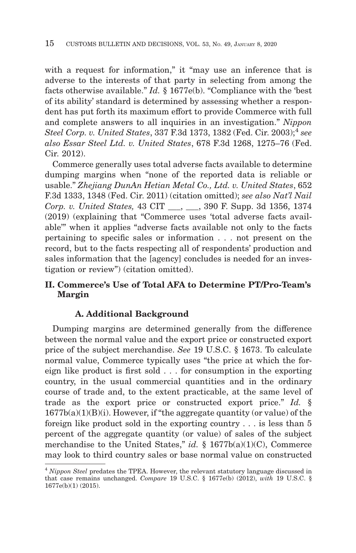with a request for information," it "may use an inference that is adverse to the interests of that party in selecting from among the facts otherwise available." *Id.* § 1677e(b). "Compliance with the 'best of its ability' standard is determined by assessing whether a respondent has put forth its maximum effort to provide Commerce with full and complete answers to all inquiries in an investigation." *Nippon Steel Corp. v. United States*, 337 F.3d 1373, 1382 (Fed. Cir. 2003);4 *see also Essar Steel Ltd. v. United States*, 678 F.3d 1268, 1275–76 (Fed. Cir. 2012).

Commerce generally uses total adverse facts available to determine dumping margins when "none of the reported data is reliable or usable." *Zhejiang DunAn Hetian Metal Co., Ltd. v. United States*, 652 F.3d 1333, 1348 (Fed. Cir. 2011) (citation omitted); *see also Nat'l Nail Corp. v. United States,* 43 CIT \_\_\_, \_\_\_, 390 F. Supp. 3d 1356, 1374 (2019) (explaining that "Commerce uses 'total adverse facts available'" when it applies "adverse facts available not only to the facts pertaining to specific sales or information . . . not present on the record, but to the facts respecting all of respondents' production and sales information that the [agency] concludes is needed for an investigation or review") (citation omitted).

# **II. Commerce's Use of Total AFA to Determine PT/Pro-Team's Margin**

## **A. Additional Background**

Dumping margins are determined generally from the difference between the normal value and the export price or constructed export price of the subject merchandise. *See* 19 U.S.C. § 1673. To calculate normal value, Commerce typically uses "the price at which the foreign like product is first sold . . . for consumption in the exporting country, in the usual commercial quantities and in the ordinary course of trade and, to the extent practicable, at the same level of trade as the export price or constructed export price." *Id.* §  $1677b(a)(1)(B)(i)$ . However, if "the aggregate quantity (or value) of the foreign like product sold in the exporting country . . . is less than 5 percent of the aggregate quantity (or value) of sales of the subject merchandise to the United States," *id.* § 1677b(a)(1)(C), Commerce may look to third country sales or base normal value on constructed

<sup>4</sup>*Nippon Steel* predates the TPEA. However, the relevant statutory language discussed in that case remains unchanged. *Compare* 19 U.S.C. § 1677e(b) (2012), *with* 19 U.S.C. § 1677e(b)(1) (2015).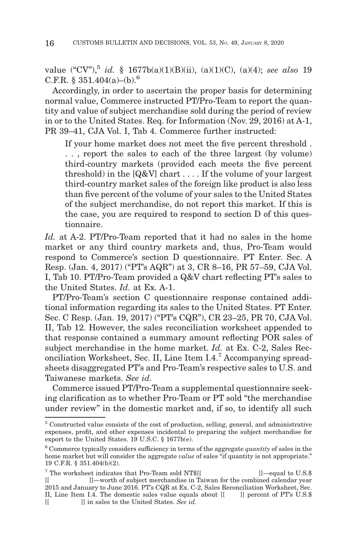value  $({}^{\omega}CV^{n})$ ,<sup>5</sup> *id.* § 1677b(a)(1)(B)(ii), (a)(1)(C), (a)(4); *see also* 19 C.F.R.  $$351.404(a)–(b)$ .<sup>6</sup>

Accordingly, in order to ascertain the proper basis for determining normal value, Commerce instructed PT/Pro-Team to report the quantity and value of subject merchandise sold during the period of review in or to the United States. Req. for Information (Nov. 29, 2016) at A-1, PR 39–41, CJA Vol. I, Tab 4. Commerce further instructed:

If your home market does not meet the five percent threshold . . . , report the sales to each of the three largest (by volume) third-country markets (provided each meets the five percent threshold) in the [Q&V] chart . . . . If the volume of your largest third-country market sales of the foreign like product is also less than five percent of the volume of your sales to the United States of the subject merchandise, do not report this market. If this is the case, you are required to respond to section D of this questionnaire.

*Id.* at A-2. PT/Pro-Team reported that it had no sales in the home market or any third country markets and, thus, Pro-Team would respond to Commerce's section D questionnaire. PT Enter. Sec. A Resp. (Jan. 4, 2017) ("PT's AQR") at 3, CR 8–16, PR 57–59, CJA Vol. I, Tab 10. PT/Pro-Team provided a Q&V chart reflecting PT's sales to the United States. *Id.* at Ex. A-1.

PT/Pro-Team's section C questionnaire response contained additional information regarding its sales to the United States. PT Enter. Sec. C Resp. (Jan. 19, 2017) ("PT's CQR"), CR 23–25, PR 70, CJA Vol. II, Tab 12. However, the sales reconciliation worksheet appended to that response contained a summary amount reflecting POR sales of subject merchandise in the home market. *Id.* at Ex. C-2, Sales Reconciliation Worksheet, Sec. II, Line Item I.4.7 Accompanying spreadsheets disaggregated PT's and Pro-Team's respective sales to U.S. and Taiwanese markets. *See id.*

Commerce issued PT/Pro-Team a supplemental questionnaire seeking clarification as to whether Pro-Team or PT sold "the merchandise under review" in the domestic market and, if so, to identify all such

<sup>5</sup> Constructed value consists of the cost of production, selling, general, and administrative expenses, profit, and other expenses incidental to preparing the subject merchandise for export to the United States. 19 U.S.C. § 1677b(e).

<sup>6</sup> Commerce typically considers sufficiency in terms of the aggregate *quantity* of sales in the home market but will consider the aggregate *value* of sales "if quantity is not appropriate." 19 C.F.R. § 351.404(b)(2).

 $^7$  The worksheet indicates that Pro-Team sold NT\$[[  $\hfill$  ]]—equal to U.S.\$ [[ ]]—worth of subject merchandise in Taiwan for the combined calendar year 2015 and January to June 2016. PT's CQR at Ex. C-2, Sales Reconciliation Worksheet, Sec. II, Line Item I.4. The domestic sales value equals about  $[[ \quad]]$  percent of PT's U.S.\$ [[ ]] in sales to the United States. *See id.*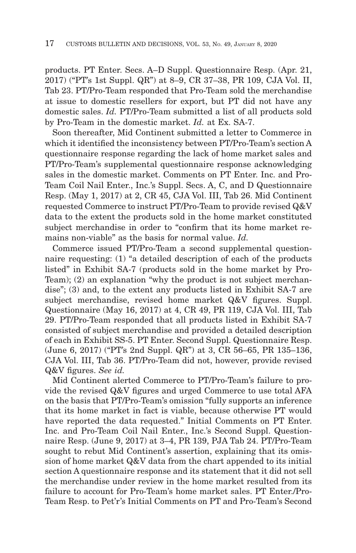products. PT Enter. Secs. A–D Suppl. Questionnaire Resp. (Apr. 21, 2017) ("PT's 1st Suppl. QR") at 8–9, CR 37–38, PR 109, CJA Vol. II, Tab 23. PT/Pro-Team responded that Pro-Team sold the merchandise at issue to domestic resellers for export, but PT did not have any domestic sales. *Id.* PT/Pro-Team submitted a list of all products sold by Pro-Team in the domestic market. *Id.* at Ex. SA-7.

Soon thereafter, Mid Continent submitted a letter to Commerce in which it identified the inconsistency between PT/Pro-Team's section A questionnaire response regarding the lack of home market sales and PT/Pro-Team's supplemental questionnaire response acknowledging sales in the domestic market. Comments on PT Enter. Inc. and Pro-Team Coil Nail Enter., Inc.'s Suppl. Secs. A, C, and D Questionnaire Resp. (May 1, 2017) at 2, CR 45, CJA Vol. III, Tab 26. Mid Continent requested Commerce to instruct PT/Pro-Team to provide revised Q&V data to the extent the products sold in the home market constituted subject merchandise in order to "confirm that its home market remains non-viable" as the basis for normal value. *Id.*

Commerce issued PT/Pro-Team a second supplemental questionnaire requesting: (1) "a detailed description of each of the products listed" in Exhibit SA-7 (products sold in the home market by Pro-Team); (2) an explanation "why the product is not subject merchandise"; (3) and, to the extent any products listed in Exhibit SA-7 are subject merchandise, revised home market Q&V figures. Suppl. Questionnaire (May 16, 2017) at 4, CR 49, PR 119, CJA Vol. III, Tab 29. PT/Pro-Team responded that all products listed in Exhibit SA-7 consisted of subject merchandise and provided a detailed description of each in Exhibit SS-5. PT Enter. Second Suppl. Questionnaire Resp. (June 6, 2017) ("PT's 2nd Suppl. QR") at 3, CR 56–65, PR 135–136, CJA Vol. III, Tab 36. PT/Pro-Team did not, however, provide revised Q&V figures. *See id.*

Mid Continent alerted Commerce to PT/Pro-Team's failure to provide the revised Q&V figures and urged Commerce to use total AFA on the basis that PT/Pro-Team's omission "fully supports an inference that its home market in fact is viable, because otherwise PT would have reported the data requested." Initial Comments on PT Enter. Inc. and Pro-Team Coil Nail Enter., Inc.'s Second Suppl. Questionnaire Resp. (June 9, 2017) at 3–4, PR 139, PJA Tab 24. PT/Pro-Team sought to rebut Mid Continent's assertion, explaining that its omission of home market Q&V data from the chart appended to its initial section A questionnaire response and its statement that it did not sell the merchandise under review in the home market resulted from its failure to account for Pro-Team's home market sales. PT Enter./Pro-Team Resp. to Pet'r's Initial Comments on PT and Pro-Team's Second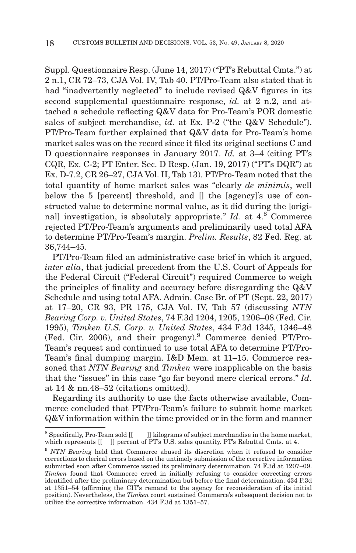Suppl. Questionnaire Resp. (June 14, 2017) ("PT's Rebuttal Cmts.") at 2 n.1, CR 72–73, CJA Vol. IV, Tab 40. PT/Pro-Team also stated that it had "inadvertently neglected" to include revised Q&V figures in its second supplemental questionnaire response, *id.* at 2 n.2, and attached a schedule reflecting Q&V data for Pro-Team's POR domestic sales of subject merchandise, *id.* at Ex. P-2 ("the Q&V Schedule"). PT/Pro-Team further explained that Q&V data for Pro-Team's home market sales was on the record since it filed its original sections C and D questionnaire responses in January 2017. *Id.* at 3–4 (citing PT's CQR, Ex. C-2; PT Enter. Sec. D Resp. (Jan. 19, 2017) ("PT's DQR") at Ex. D-7.2, CR 26–27, CJA Vol. II, Tab 13). PT/Pro-Team noted that the total quantity of home market sales was "clearly *de minimis*, well below the 5 [percent] threshold, and [] the [agency]'s use of constructed value to determine normal value, as it did during the [originall investigation, is absolutely appropriate." *Id.* at 4.<sup>8</sup> Commerce rejected PT/Pro-Team's arguments and preliminarily used total AFA to determine PT/Pro-Team's margin. *Prelim. Results*, 82 Fed. Reg. at 36,744–45.

PT/Pro-Team filed an administrative case brief in which it argued, *inter alia*, that judicial precedent from the U.S. Court of Appeals for the Federal Circuit ("Federal Circuit") required Commerce to weigh the principles of finality and accuracy before disregarding the Q&V Schedule and using total AFA. Admin. Case Br. of PT (Sept. 22, 2017) at 17–20, CR 93, PR 175, CJA Vol. IV, Tab 57 (discussing *NTN Bearing Corp. v. United States*, 74 F.3d 1204, 1205, 1206–08 (Fed. Cir. 1995), *Timken U.S. Corp. v. United States*, 434 F.3d 1345, 1346–48 (Fed. Cir. 2006), and their progeny).9 Commerce denied PT/Pro-Team's request and continued to use total AFA to determine PT/Pro-Team's final dumping margin. I&D Mem. at 11–15. Commerce reasoned that *NTN Bearing* and *Timken* were inapplicable on the basis that the "issues" in this case "go far beyond mere clerical errors." *Id*. at 14 & nn.48–52 (citations omitted).

Regarding its authority to use the facts otherwise available, Commerce concluded that PT/Pro-Team's failure to submit home market Q&V information within the time provided or in the form and manner

<sup>&</sup>lt;sup>8</sup> Specifically, Pro-Team sold  $[[ \quad]]$  kilograms of subject merchandise in the home market, which represents  $\begin{bmatrix} \end{bmatrix}$  percent of PT's U.S. sales quantity. PT's Rebuttal Cmts. at 4.

<sup>9</sup>*NTN Bearing* held that Commerce abused its discretion when it refused to consider corrections to clerical errors based on the untimely submission of the corrective information submitted soon after Commerce issued its preliminary determination. 74 F.3d at 1207–09. *Timken* found that Commerce erred in initially refusing to consider correcting errors identified after the preliminary determination but before the final determination. 434 F.3d at 1351–54 (affirming the CIT's remand to the agency for reconsideration of its initial position). Nevertheless, the *Timken* court sustained Commerce's subsequent decision not to utilize the corrective information. 434 F.3d at 1351–57.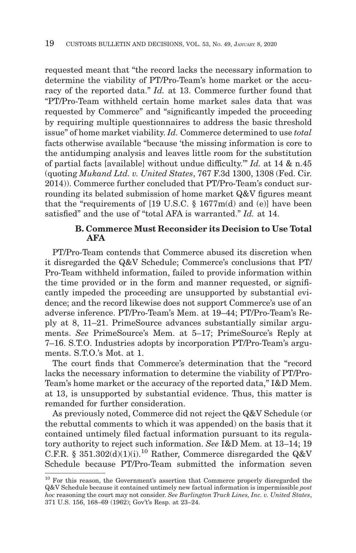requested meant that "the record lacks the necessary information to determine the viability of PT/Pro-Team's home market or the accuracy of the reported data." *Id.* at 13. Commerce further found that "PT/Pro-Team withheld certain home market sales data that was requested by Commerce" and "significantly impeded the proceeding by requiring multiple questionnaires to address the basic threshold issue" of home market viability. *Id.* Commerce determined to use *total* facts otherwise available "because 'the missing information is core to the antidumping analysis and leaves little room for the substitution of partial facts [available] without undue difficulty.'" *Id.* at 14 & n.45 (quoting *Mukand Ltd. v. United States*, 767 F.3d 1300, 1308 (Fed. Cir. 2014)). Commerce further concluded that PT/Pro-Team's conduct surrounding its belated submission of home market Q&V figures meant that the "requirements of  $[19 \text{ U.S.C. } § 1677 \text{m(d)}$  and  $(e)]$  have been satisfied" and the use of "total AFA is warranted." *Id.* at 14.

## **B. Commerce Must Reconsider its Decision to Use Total AFA**

PT/Pro-Team contends that Commerce abused its discretion when it disregarded the Q&V Schedule; Commerce's conclusions that PT/ Pro-Team withheld information, failed to provide information within the time provided or in the form and manner requested, or significantly impeded the proceeding are unsupported by substantial evidence; and the record likewise does not support Commerce's use of an adverse inference. PT/Pro-Team's Mem. at 19–44; PT/Pro-Team's Reply at 8, 11–21. PrimeSource advances substantially similar arguments. *See* PrimeSource's Mem. at 5–17; PrimeSource's Reply at 7–16. S.T.O. Industries adopts by incorporation PT/Pro-Team's arguments. S.T.O.'s Mot. at 1.

The court finds that Commerce's determination that the "record lacks the necessary information to determine the viability of PT/Pro-Team's home market or the accuracy of the reported data," I&D Mem. at 13, is unsupported by substantial evidence. Thus, this matter is remanded for further consideration.

As previously noted, Commerce did not reject the Q&V Schedule (or the rebuttal comments to which it was appended) on the basis that it contained untimely filed factual information pursuant to its regulatory authority to reject such information. *See* I&D Mem. at 13–14; 19 C.F.R. § 351.302(d)(1)(i).<sup>10</sup> Rather, Commerce disregarded the Q&V Schedule because PT/Pro-Team submitted the information seven

<sup>&</sup>lt;sup>10</sup> For this reason, the Government's assertion that Commerce properly disregarded the Q&V Schedule because it contained untimely new factual information is impermissible *post hoc* reasoning the court may not consider. *See Burlington Truck Lines, Inc. v. United States*, 371 U.S. 156, 168–69 (1962); Gov't's Resp. at 23–24.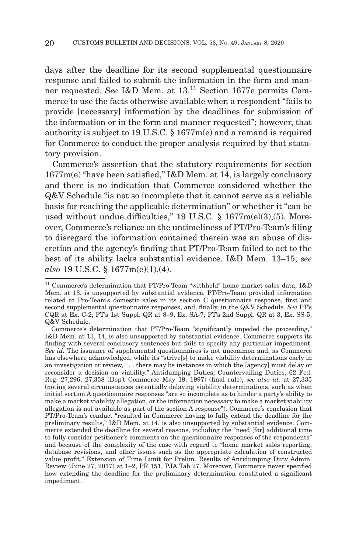days after the deadline for its second supplemental questionnaire response and failed to submit the information in the form and manner requested. *See* I&D Mem. at 13.11 Section 1677e permits Commerce to use the facts otherwise available when a respondent "fails to provide [necessary] information by the deadlines for submission of the information or in the form and manner requested"; however, that authority is subject to 19 U.S.C. § 1677m(e) and a remand is required for Commerce to conduct the proper analysis required by that statutory provision.

Commerce's assertion that the statutory requirements for section 1677m(e) "have been satisfied," I&D Mem. at 14, is largely conclusory and there is no indication that Commerce considered whether the Q&V Schedule "is not so incomplete that it cannot serve as a reliable basis for reaching the applicable determination" or whether it "can be used without undue difficulties," 19 U.S.C. § 1677m(e)(3),(5). Moreover, Commerce's reliance on the untimeliness of PT/Pro-Team's filing to disregard the information contained therein was an abuse of discretion and the agency's finding that PT/Pro-Team failed to act to the best of its ability lacks substantial evidence. I&D Mem. 13–15; *see also* 19 U.S.C. § 1677m(e)(1),(4).

 $^{11}$  Commerce's determination that PT/Pro-Team "withheld" home market sales data, I&D Mem. at 13, is unsupported by substantial evidence. PT/Pro-Team provided information related to Pro-Team's domestic sales in its section C questionnaire response, first and second supplemental questionnaire responses, and, finally, in the Q&V Schedule. *See* PT's CQR at Ex. C-2; PT's 1st Suppl. QR at 8–9, Ex. SA-7; PT's 2nd Suppl. QR at 3, Ex. SS-5; Q&V Schedule.

Commerce's determination that PT/Pro-Team "significantly impeded the proceeding," I&D Mem. at 13, 14, is also unsupported by substantial evidence. Commerce supports its finding with several conclusory sentences but fails to specify any particular impediment. *See id.* The issuance of supplemental questionnaires is not uncommon and, as Commerce has elsewhere acknowledged, while its "strive[s] to make viability determinations early in an investigation or review, . . . there may be instances in which the [agency] must delay or reconsider a decision on viability." Antidumping Duties; Countervailing Duties, 62 Fed. Reg. 27,296, 27,358 (Dep't Commerce May 19, 1997) (final rule); *see also id.* at 27,335 (noting several circumstances potentially delaying viability determinations, such as when initial section A questionnaire responses "are so incomplete as to hinder a party's ability to make a market viability allegation, or the information necessary to make a market viability allegation is not available as part of the section A response"). Commerce's conclusion that PT/Pro-Team's conduct "resulted in Commerce having to fully extend the deadline for the preliminary results," I&D Mem. at 14, is also unsupported by substantial evidence. Commerce extended the deadline for several reasons, including the "need [for] additional time to fully consider petitioner's comments on the questionnaire responses of the respondents" and because of the complexity of the case with regard to "home market sales reporting, database revisions, and other issues such as the appropriate calculation of constructed value profit." Extension of Time Limit for Prelim. Results of Antidumping Duty Admin. Review (June 27, 2017) at 1–2, PR 151, PJA Tab 27. Moreover, Commerce never specified how extending the deadline for the preliminary determination constituted a significant impediment.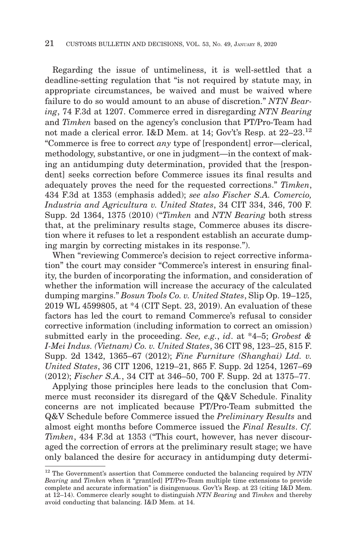Regarding the issue of untimeliness, it is well-settled that a deadline-setting regulation that "is not required by statute may, in appropriate circumstances, be waived and must be waived where failure to do so would amount to an abuse of discretion." *NTN Bearing*, 74 F.3d at 1207. Commerce erred in disregarding *NTN Bearing* and *Timken* based on the agency's conclusion that PT/Pro-Team had not made a clerical error. I&D Mem. at 14; Gov't's Resp. at 22–23.<sup>12</sup> "Commerce is free to correct *any* type of [respondent] error—clerical, methodology, substantive, or one in judgment—in the context of making an antidumping duty determination, provided that the [respondentl seeks correction before Commerce issues its final results and adequately proves the need for the requested corrections." *Timken*, 434 F.3d at 1353 (emphasis added); *see also Fischer S.A. Comercio, Industria and Agricultura v. United States*, 34 CIT 334, 346, 700 F. Supp. 2d 1364, 1375 (2010) ("*Timken* and *NTN Bearing* both stress that, at the preliminary results stage, Commerce abuses its discretion where it refuses to let a respondent establish an accurate dumping margin by correcting mistakes in its response.").

When "reviewing Commerce's decision to reject corrective information" the court may consider "Commerce's interest in ensuring finality, the burden of incorporating the information, and consideration of whether the information will increase the accuracy of the calculated dumping margins." *Bosun Tools Co. v. United States*, Slip Op. 19–125, 2019 WL 4599805, at \*4 (CIT Sept. 23, 2019). An evaluation of these factors has led the court to remand Commerce's refusal to consider corrective information (including information to correct an omission) submitted early in the proceeding. *See, e.g.*, *id*. at \*4–5; *Grobest & I-Mei Indus. (Vietnam) Co. v. United States*, 36 CIT 98, 123–25, 815 F. Supp. 2d 1342, 1365–67 (2012); *Fine Furniture (Shanghai) Ltd. v. United States*, 36 CIT 1206, 1219–21, 865 F. Supp. 2d 1254, 1267–69 (2012); *Fischer S.A.*, 34 CIT at 346–50, 700 F. Supp. 2d at 1375–77.

Applying those principles here leads to the conclusion that Commerce must reconsider its disregard of the Q&V Schedule. Finality concerns are not implicated because PT/Pro-Team submitted the Q&V Schedule before Commerce issued the *Preliminary Results* and almost eight months before Commerce issued the *Final Results*. *Cf. Timken*, 434 F.3d at 1353 ("This court, however, has never discouraged the correction of errors at the preliminary result stage; we have only balanced the desire for accuracy in antidumping duty determi-

<sup>12</sup> The Government's assertion that Commerce conducted the balancing required by *NTN Bearing* and *Timken* when it "grant[ed] PT/Pro-Team multiple time extensions to provide complete and accurate information" is disingenuous. Gov't's Resp. at 23 (citing I&D Mem. at 12–14). Commerce clearly sought to distinguish *NTN Bearing* and *Timken* and thereby avoid conducting that balancing. I&D Mem. at 14.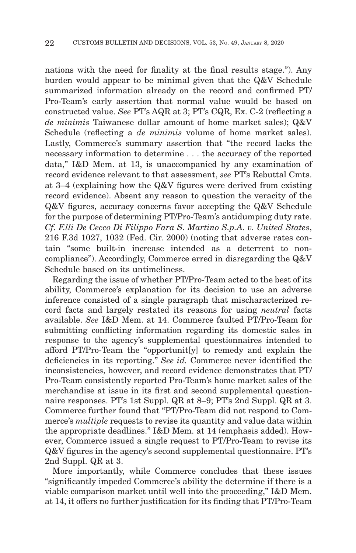nations with the need for finality at the final results stage."). Any burden would appear to be minimal given that the Q&V Schedule summarized information already on the record and confirmed PT/ Pro-Team's early assertion that normal value would be based on constructed value. *See* PT's AQR at 3; PT's CQR, Ex. C-2 (reflecting a *de minimis* Taiwanese dollar amount of home market sales); Q&V Schedule (reflecting a *de minimis* volume of home market sales). Lastly, Commerce's summary assertion that "the record lacks the necessary information to determine . . . the accuracy of the reported data," I&D Mem. at 13, is unaccompanied by any examination of record evidence relevant to that assessment, *see* PT's Rebuttal Cmts. at 3–4 (explaining how the Q&V figures were derived from existing record evidence). Absent any reason to question the veracity of the Q&V figures, accuracy concerns favor accepting the Q&V Schedule for the purpose of determining PT/Pro-Team's antidumping duty rate. *Cf. F.lli De Cecco Di Filippo Fara S. Martino S.p.A. v. United States*, 216 F.3d 1027, 1032 (Fed. Cir. 2000) (noting that adverse rates contain "some built-in increase intended as a deterrent to noncompliance"). Accordingly, Commerce erred in disregarding the Q&V Schedule based on its untimeliness.

Regarding the issue of whether PT/Pro-Team acted to the best of its ability, Commerce's explanation for its decision to use an adverse inference consisted of a single paragraph that mischaracterized record facts and largely restated its reasons for using *neutral* facts available. *See* I&D Mem. at 14. Commerce faulted PT/Pro-Team for submitting conflicting information regarding its domestic sales in response to the agency's supplemental questionnaires intended to afford PT/Pro-Team the "opportunit[y] to remedy and explain the deficiencies in its reporting." *See id.* Commerce never identified the inconsistencies, however, and record evidence demonstrates that PT/ Pro-Team consistently reported Pro-Team's home market sales of the merchandise at issue in its first and second supplemental questionnaire responses. PT's 1st Suppl. QR at 8–9; PT's 2nd Suppl. QR at 3. Commerce further found that "PT/Pro-Team did not respond to Commerce's *multiple* requests to revise its quantity and value data within the appropriate deadlines." I&D Mem. at 14 (emphasis added). However, Commerce issued a single request to PT/Pro-Team to revise its Q&V figures in the agency's second supplemental questionnaire. PT's 2nd Suppl. QR at 3.

More importantly, while Commerce concludes that these issues "significantly impeded Commerce's ability the determine if there is a viable comparison market until well into the proceeding," I&D Mem. at 14, it offers no further justification for its finding that PT/Pro-Team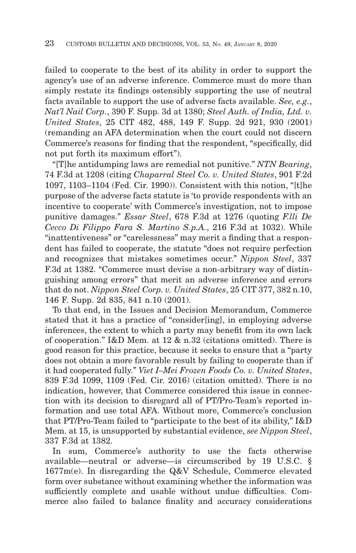failed to cooperate to the best of its ability in order to support the agency's use of an adverse inference. Commerce must do more than simply restate its findings ostensibly supporting the use of neutral facts available to support the use of adverse facts available. *See, e.g.*, *Nat'l Nail Corp*., 390 F. Supp. 3d at 1380; *Steel Auth. of India, Ltd. v. United States*, 25 CIT 482, 488, 149 F. Supp. 2d 921, 930 (2001) (remanding an AFA determination when the court could not discern Commerce's reasons for finding that the respondent, "specifically, did not put forth its maximum effort").

"[T]he antidumping laws are remedial not punitive." *NTN Bearing*, 74 F.3d at 1208 (citing *Chaparral Steel Co. v. United States*, 901 F.2d 1097, 1103–1104 (Fed. Cir. 1990)). Consistent with this notion, "[t]he purpose of the adverse facts statute is 'to provide respondents with an incentive to cooperate' with Commerce's investigation, not to impose punitive damages." *Essar Steel*, 678 F.3d at 1276 (quoting *F.lli De Cecco Di Filippo Fara S. Martino S.p.A.*, 216 F.3d at 1032). While "inattentiveness" or "carelessness" may merit a finding that a respondent has failed to cooperate, the statute "does not require perfection and recognizes that mistakes sometimes occur." *Nippon Steel*, 337 F.3d at 1382. "Commerce must devise a non-arbitrary way of distinguishing among errors" that merit an adverse inference and errors that do not. *Nippon Steel Corp. v. United States*, 25 CIT 377, 382 n.10, 146 F. Supp. 2d 835, 841 n.10 (2001).

To that end, in the Issues and Decision Memorandum, Commerce stated that it has a practice of "consider[ing], in employing adverse inferences, the extent to which a party may benefit from its own lack of cooperation." I&D Mem. at 12 & n.32 (citations omitted). There is good reason for this practice, because it seeks to ensure that a "party does not obtain a more favorable result by failing to cooperate than if it had cooperated fully." *Viet I–Mei Frozen Foods Co. v. United States*, 839 F.3d 1099, 1109 (Fed. Cir. 2016) (citation omitted). There is no indication, however, that Commerce considered this issue in connection with its decision to disregard all of PT/Pro-Team's reported information and use total AFA. Without more, Commerce's conclusion that PT/Pro-Team failed to "participate to the best of its ability," I&D Mem. at 15, is unsupported by substantial evidence, *see Nippon Steel*, 337 F.3d at 1382.

In sum, Commerce's authority to use the facts otherwise available—neutral or adverse—is circumscribed by 19 U.S.C. § 1677m(e). In disregarding the Q&V Schedule, Commerce elevated form over substance without examining whether the information was sufficiently complete and usable without undue difficulties. Commerce also failed to balance finality and accuracy considerations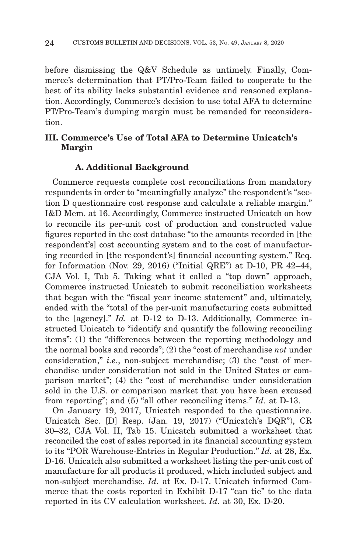before dismissing the Q&V Schedule as untimely. Finally, Commerce's determination that PT/Pro-Team failed to cooperate to the best of its ability lacks substantial evidence and reasoned explanation. Accordingly, Commerce's decision to use total AFA to determine PT/Pro-Team's dumping margin must be remanded for reconsideration.

# **III. Commerce's Use of Total AFA to Determine Unicatch's Margin**

#### **A. Additional Background**

Commerce requests complete cost reconciliations from mandatory respondents in order to "meaningfully analyze" the respondent's "section D questionnaire cost response and calculate a reliable margin." I&D Mem. at 16. Accordingly, Commerce instructed Unicatch on how to reconcile its per-unit cost of production and constructed value figures reported in the cost database "to the amounts recorded in [the respondent's] cost accounting system and to the cost of manufacturing recorded in [the respondent's] financial accounting system." Req. for Information (Nov. 29, 2016) ("Initial QRE") at D-10, PR 42–44, CJA Vol. I, Tab 5. Taking what it called a "top down" approach, Commerce instructed Unicatch to submit reconciliation worksheets that began with the "fiscal year income statement" and, ultimately, ended with the "total of the per-unit manufacturing costs submitted to the [agency]." *Id.* at D-12 to D-13. Additionally, Commerce instructed Unicatch to "identify and quantify the following reconciling items": (1) the "differences between the reporting methodology and the normal books and records"; (2) the "cost of merchandise *not* under consideration," *i.e.*, non-subject merchandise; (3) the "cost of merchandise under consideration not sold in the United States or comparison market"; (4) the "cost of merchandise under consideration sold in the U.S. or comparison market that you have been excused from reporting"; and (5) "all other reconciling items." *Id.* at D-13.

On January 19, 2017, Unicatch responded to the questionnaire. Unicatch Sec. [D] Resp. (Jan. 19, 2017) ("Unicatch's DQR"), CR 30–32, CJA Vol. II, Tab 15. Unicatch submitted a worksheet that reconciled the cost of sales reported in its financial accounting system to its "POR Warehouse-Entries in Regular Production." *Id.* at 28, Ex. D-16. Unicatch also submitted a worksheet listing the per-unit cost of manufacture for all products it produced, which included subject and non-subject merchandise. *Id.* at Ex. D-17. Unicatch informed Commerce that the costs reported in Exhibit D-17 "can tie" to the data reported in its CV calculation worksheet. *Id.* at 30, Ex. D-20.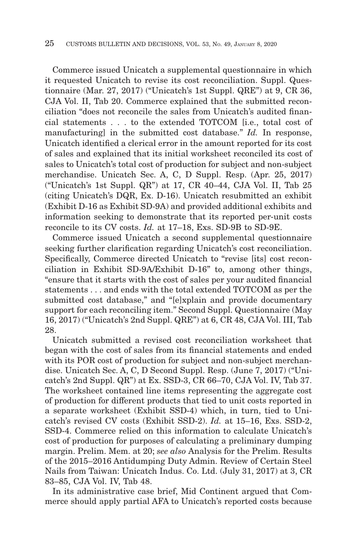Commerce issued Unicatch a supplemental questionnaire in which it requested Unicatch to revise its cost reconciliation. Suppl. Questionnaire (Mar. 27, 2017) ("Unicatch's 1st Suppl. QRE") at 9, CR 36, CJA Vol. II, Tab 20. Commerce explained that the submitted reconciliation "does not reconcile the sales from Unicatch's audited financial statements . . . to the extended TOTCOM [i.e., total cost of manufacturing] in the submitted cost database." *Id.* In response, Unicatch identified a clerical error in the amount reported for its cost of sales and explained that its initial worksheet reconciled its cost of sales to Unicatch's total cost of production for subject and non-subject merchandise. Unicatch Sec. A, C, D Suppl. Resp. (Apr. 25, 2017) ("Unicatch's 1st Suppl. QR") at 17, CR 40–44, CJA Vol. II, Tab 25 (citing Unicatch's DQR, Ex. D-16). Unicatch resubmitted an exhibit (Exhibit D-16 as Exhibit SD-9A) and provided additional exhibits and information seeking to demonstrate that its reported per-unit costs reconcile to its CV costs. *Id.* at 17–18, Exs. SD-9B to SD-9E.

Commerce issued Unicatch a second supplemental questionnaire seeking further clarification regarding Unicatch's cost reconciliation. Specifically, Commerce directed Unicatch to "revise [its] cost reconciliation in Exhibit SD-9A/Exhibit D-16" to, among other things, "ensure that it starts with the cost of sales per your audited financial statements . . . and ends with the total extended TOTCOM as per the submitted cost database," and "[e]xplain and provide documentary support for each reconciling item." Second Suppl. Questionnaire (May 16, 2017) ("Unicatch's 2nd Suppl. QRE") at 6, CR 48, CJA Vol. III, Tab 28.

Unicatch submitted a revised cost reconciliation worksheet that began with the cost of sales from its financial statements and ended with its POR cost of production for subject and non-subject merchandise. Unicatch Sec. A, C, D Second Suppl. Resp. (June 7, 2017) ("Unicatch's 2nd Suppl. QR") at Ex. SSD-3, CR 66–70, CJA Vol. IV, Tab 37. The worksheet contained line items representing the aggregate cost of production for different products that tied to unit costs reported in a separate worksheet (Exhibit SSD-4) which, in turn, tied to Unicatch's revised CV costs (Exhibit SSD-2). *Id.* at 15–16, Exs. SSD-2, SSD-4. Commerce relied on this information to calculate Unicatch's cost of production for purposes of calculating a preliminary dumping margin. Prelim. Mem. at 20; *see also* Analysis for the Prelim. Results of the 2015–2016 Antidumping Duty Admin. Review of Certain Steel Nails from Taiwan: Unicatch Indus. Co. Ltd. (July 31, 2017) at 3, CR 83–85, CJA Vol. IV, Tab 48.

In its administrative case brief, Mid Continent argued that Commerce should apply partial AFA to Unicatch's reported costs because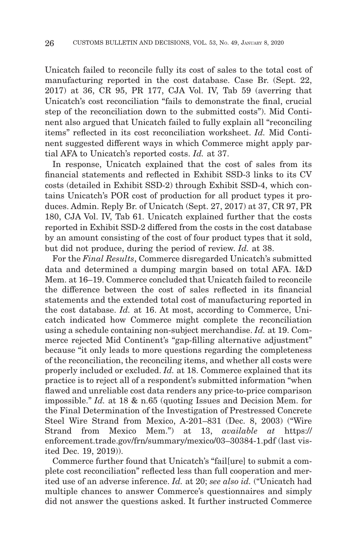Unicatch failed to reconcile fully its cost of sales to the total cost of manufacturing reported in the cost database. Case Br. (Sept. 22, 2017) at 36, CR 95, PR 177, CJA Vol. IV, Tab 59 (averring that Unicatch's cost reconciliation "fails to demonstrate the final, crucial step of the reconciliation down to the submitted costs"). Mid Continent also argued that Unicatch failed to fully explain all "reconciling items" reflected in its cost reconciliation worksheet. *Id.* Mid Continent suggested different ways in which Commerce might apply partial AFA to Unicatch's reported costs. *Id.* at 37.

In response, Unicatch explained that the cost of sales from its financial statements and reflected in Exhibit SSD-3 links to its CV costs (detailed in Exhibit SSD-2) through Exhibit SSD-4, which contains Unicatch's POR cost of production for all product types it produces. Admin. Reply Br. of Unicatch (Sept. 27, 2017) at 37, CR 97, PR 180, CJA Vol. IV, Tab 61. Unicatch explained further that the costs reported in Exhibit SSD-2 differed from the costs in the cost database by an amount consisting of the cost of four product types that it sold, but did not produce, during the period of review. *Id.* at 38.

For the *Final Results*, Commerce disregarded Unicatch's submitted data and determined a dumping margin based on total AFA. I&D Mem. at 16–19. Commerce concluded that Unicatch failed to reconcile the difference between the cost of sales reflected in its financial statements and the extended total cost of manufacturing reported in the cost database. *Id.* at 16. At most, according to Commerce, Unicatch indicated how Commerce might complete the reconciliation using a schedule containing non-subject merchandise. *Id.* at 19. Commerce rejected Mid Continent's "gap-filling alternative adjustment" because "it only leads to more questions regarding the completeness of the reconciliation, the reconciling items, and whether all costs were properly included or excluded. *Id.* at 18. Commerce explained that its practice is to reject all of a respondent's submitted information "when flawed and unreliable cost data renders any price-to-price comparison impossible." *Id.* at 18 & n.65 (quoting Issues and Decision Mem. for the Final Determination of the Investigation of Prestressed Concrete Steel Wire Strand from Mexico, A-201–831 (Dec. 8, 2003) ("Wire Strand from Mexico Mem.") at 13, *available at* https:// enforcement.trade.gov/frn/summary/mexico/03–30384-1.pdf (last visited Dec. 19, 2019)).

Commerce further found that Unicatch's "fail[ure] to submit a complete cost reconciliation" reflected less than full cooperation and merited use of an adverse inference. *Id.* at 20; *see also id.* ("Unicatch had multiple chances to answer Commerce's questionnaires and simply did not answer the questions asked. It further instructed Commerce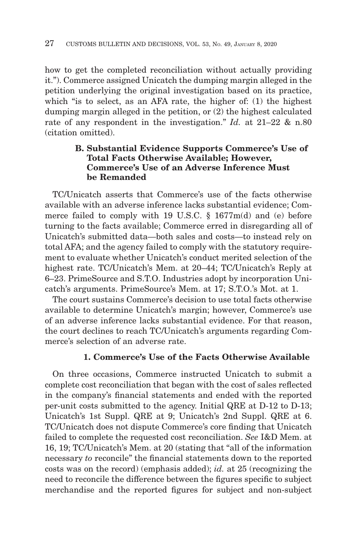how to get the completed reconciliation without actually providing it."). Commerce assigned Unicatch the dumping margin alleged in the petition underlying the original investigation based on its practice, which "is to select, as an AFA rate, the higher of: (1) the highest dumping margin alleged in the petition, or (2) the highest calculated rate of any respondent in the investigation." *Id.* at 21–22 & n.80 (citation omitted).

# **B. Substantial Evidence Supports Commerce's Use of Total Facts Otherwise Available; However, Commerce's Use of an Adverse Inference Must be Remanded**

TC/Unicatch asserts that Commerce's use of the facts otherwise available with an adverse inference lacks substantial evidence; Commerce failed to comply with 19 U.S.C. § 1677m(d) and (e) before turning to the facts available; Commerce erred in disregarding all of Unicatch's submitted data—both sales and costs—to instead rely on total AFA; and the agency failed to comply with the statutory requirement to evaluate whether Unicatch's conduct merited selection of the highest rate. TC/Unicatch's Mem. at 20–44; TC/Unicatch's Reply at 6–23. PrimeSource and S.T.O. Industries adopt by incorporation Unicatch's arguments. PrimeSource's Mem. at 17; S.T.O.'s Mot. at 1.

The court sustains Commerce's decision to use total facts otherwise available to determine Unicatch's margin; however, Commerce's use of an adverse inference lacks substantial evidence. For that reason, the court declines to reach TC/Unicatch's arguments regarding Commerce's selection of an adverse rate.

# **1. Commerce's Use of the Facts Otherwise Available**

On three occasions, Commerce instructed Unicatch to submit a complete cost reconciliation that began with the cost of sales reflected in the company's financial statements and ended with the reported per-unit costs submitted to the agency. Initial QRE at D-12 to D-13; Unicatch's 1st Suppl. QRE at 9; Unicatch's 2nd Suppl. QRE at 6. TC/Unicatch does not dispute Commerce's core finding that Unicatch failed to complete the requested cost reconciliation. *See* I&D Mem. at 16, 19; TC/Unicatch's Mem. at 20 (stating that "all of the information necessary *to* reconcile" the financial statements down to the reported costs was on the record) (emphasis added); *id.* at 25 (recognizing the need to reconcile the difference between the figures specific to subject merchandise and the reported figures for subject and non-subject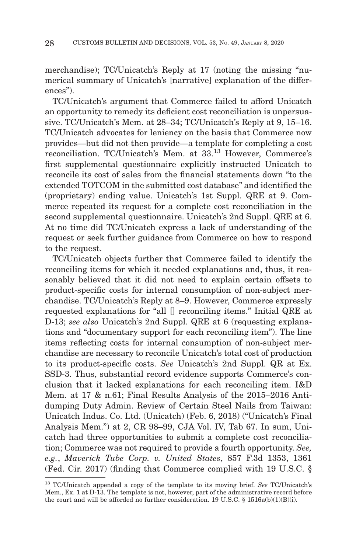merchandise); TC/Unicatch's Reply at 17 (noting the missing "numerical summary of Unicatch's [narrative] explanation of the differences").

TC/Unicatch's argument that Commerce failed to afford Unicatch an opportunity to remedy its deficient cost reconciliation is unpersuasive. TC/Unicatch's Mem. at 28–34; TC/Unicatch's Reply at 9, 15–16. TC/Unicatch advocates for leniency on the basis that Commerce now provides—but did not then provide—a template for completing a cost reconciliation. TC/Unicatch's Mem. at 33.13 However, Commerce's first supplemental questionnaire explicitly instructed Unicatch to reconcile its cost of sales from the financial statements down "to the extended TOTCOM in the submitted cost database" and identified the (proprietary) ending value. Unicatch's 1st Suppl. QRE at 9. Commerce repeated its request for a complete cost reconciliation in the second supplemental questionnaire. Unicatch's 2nd Suppl. QRE at 6. At no time did TC/Unicatch express a lack of understanding of the request or seek further guidance from Commerce on how to respond to the request.

TC/Unicatch objects further that Commerce failed to identify the reconciling items for which it needed explanations and, thus, it reasonably believed that it did not need to explain certain offsets to product-specific costs for internal consumption of non-subject merchandise. TC/Unicatch's Reply at 8–9. However, Commerce expressly requested explanations for "all [] reconciling items." Initial QRE at D-13; *see also* Unicatch's 2nd Suppl. QRE at 6 (requesting explanations and "documentary support for each reconciling item"). The line items reflecting costs for internal consumption of non-subject merchandise are necessary to reconcile Unicatch's total cost of production to its product-specific costs. *See* Unicatch's 2nd Suppl. QR at Ex. SSD-3. Thus, substantial record evidence supports Commerce's conclusion that it lacked explanations for each reconciling item. I&D Mem. at 17 & n.61; Final Results Analysis of the 2015–2016 Antidumping Duty Admin. Review of Certain Steel Nails from Taiwan: Unicatch Indus. Co. Ltd. (Unicatch) (Feb. 6, 2018) ("Unicatch's Final Analysis Mem.") at 2, CR 98–99, CJA Vol. IV, Tab 67. In sum, Unicatch had three opportunities to submit a complete cost reconciliation; Commerce was not required to provide a fourth opportunity. *See, e.g.*, *Maverick Tube Corp. v. United States*, 857 F.3d 1353, 1361 (Fed. Cir. 2017) (finding that Commerce complied with 19 U.S.C. §

<sup>13</sup> TC/Unicatch appended a copy of the template to its moving brief. *See* TC/Unicatch's Mem., Ex. 1 at D-13. The template is not, however, part of the administrative record before the court and will be afforded no further consideration. 19 U.S.C.  $\S$  1516a(b)(1)(B)(i).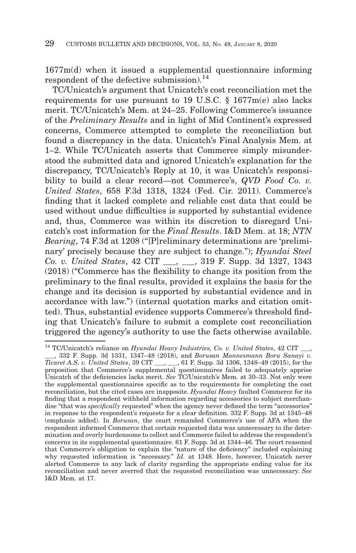1677m(d) when it issued a supplemental questionnaire informing respondent of the defective submission). $^{14}$ 

TC/Unicatch's argument that Unicatch's cost reconciliation met the requirements for use pursuant to 19 U.S.C. § 1677m(e) also lacks merit. TC/Unicatch's Mem. at 24–25. Following Commerce's issuance of the *Preliminary Results* and in light of Mid Continent's expressed concerns, Commerce attempted to complete the reconciliation but found a discrepancy in the data. Unicatch's Final Analysis Mem. at 1–2. While TC/Unicatch asserts that Commerce simply misunderstood the submitted data and ignored Unicatch's explanation for the discrepancy, TC/Unicatch's Reply at 10, it was Unicatch's responsibility to build a clear record—not Commerce's, *QVD Food Co. v. United States*, 658 F.3d 1318, 1324 (Fed. Cir. 2011). Commerce's finding that it lacked complete and reliable cost data that could be used without undue difficulties is supported by substantial evidence and, thus, Commerce was within its discretion to disregard Unicatch's cost information for the *Final Results*. I&D Mem. at 18; *NTN Bearing*, 74 F.3d at 1208 ("[P]reliminary determinations are 'preliminary' precisely because they are subject to change."); *Hyundai Steel Co. v. United States*, 42 CIT \_\_\_, \_\_\_, 319 F. Supp. 3d 1327, 1343 (2018) ("Commerce has the flexibility to change its position from the preliminary to the final results, provided it explains the basis for the change and its decision is supported by substantial evidence and in accordance with law.") (internal quotation marks and citation omitted). Thus, substantial evidence supports Commerce's threshold finding that Unicatch's failure to submit a complete cost reconciliation triggered the agency's authority to use the facts otherwise available.

<sup>&</sup>lt;sup>14</sup> TC/Unicatch's reliance on *Hyundai Heavy Industries, Co. v. United States*, 42 CIT

\_\_\_, 332 F. Supp. 3d 1331, 1347–48 (2018), and *Borusan Mannesmann Boru Sanayi v. Ticaret A.S. v. United States*, 39 CIT \_\_\_, \_\_\_, 61 F. Supp. 3d 1306, 1348–49 (2015), for the proposition that Commerce's supplemental questionnaires failed to adequately apprise Unicatch of the deficiencies lacks merit. *See* TC/Unicatch's Mem. at 30–33. Not only were the supplemental questionnaires specific as to the requirements for completing the cost reconciliation, but the cited cases are inapposite. *Hyundai Heavy* faulted Commerce for its finding that a respondent withheld information regarding accessories to subject merchandise "that was *specifically* requested" when the agency never defined the term "accessories" in response to the respondent's requests for a clear definition. 332 F. Supp. 3d at 1345–48 (emphasis added). In *Borusan*, the court remanded Commerce's use of AFA when the respondent informed Commerce that certain requested data was unnecessary to the determination and overly burdensome to collect and Commerce failed to address the respondent's concerns in its supplemental questionnaire. 61 F. Supp. 3d at 1344–46. The court reasoned that Commerce's obligation to explain the "nature of the deficiency" included explaining why requested information is "necessary." *Id.* at 1348. Here, however, Unicatch never alerted Commerce to any lack of clarity regarding the appropriate ending value for its reconciliation and never averred that the requested reconciliation was unnecessary. *See* I&D Mem. at 17.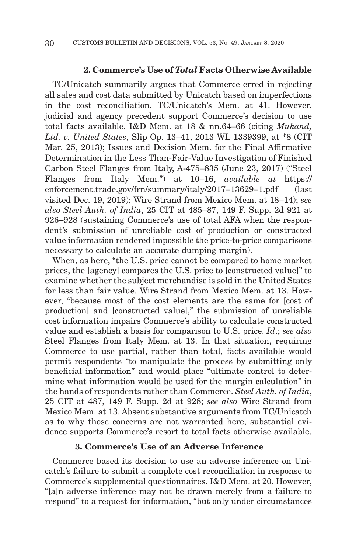#### **2. Commerce's Use of** *Total* **Facts Otherwise Available**

TC/Unicatch summarily argues that Commerce erred in rejecting all sales and cost data submitted by Unicatch based on imperfections in the cost reconciliation. TC/Unicatch's Mem. at 41. However, judicial and agency precedent support Commerce's decision to use total facts available. I&D Mem. at 18 & nn.64–66 (citing *Mukand, Ltd. v. United States*, Slip Op. 13–41, 2013 WL 1339399, at \*8 (CIT Mar. 25, 2013); Issues and Decision Mem. for the Final Affirmative Determination in the Less Than-Fair-Value Investigation of Finished Carbon Steel Flanges from Italy, A-475–835 (June 23, 2017) ("Steel Flanges from Italy Mem.") at 10–16, *available at* https:// enforcement.trade.gov/frn/summary/italy/2017-13629-1.pdf (last visited Dec. 19, 2019); Wire Strand from Mexico Mem. at 18–14); *see also Steel Auth. of India*, 25 CIT at 485–87, 149 F. Supp. 2d 921 at 926–928 (sustaining Commerce's use of total AFA when the respondent's submission of unreliable cost of production or constructed value information rendered impossible the price-to-price comparisons necessary to calculate an accurate dumping margin).

When, as here, "the U.S. price cannot be compared to home market prices, the [agency] compares the U.S. price to [constructed value]" to examine whether the subject merchandise is sold in the United States for less than fair value. Wire Strand from Mexico Mem. at 13. However, "because most of the cost elements are the same for [cost of production] and [constructed value]," the submission of unreliable cost information impairs Commerce's ability to calculate constructed value and establish a basis for comparison to U.S. price. *Id*.; *see also* Steel Flanges from Italy Mem. at 13. In that situation, requiring Commerce to use partial, rather than total, facts available would permit respondents "to manipulate the process by submitting only beneficial information" and would place "ultimate control to determine what information would be used for the margin calculation" in the hands of respondents rather than Commerce. *Steel Auth. of India*, 25 CIT at 487, 149 F. Supp. 2d at 928; *see also* Wire Strand from Mexico Mem. at 13. Absent substantive arguments from TC/Unicatch as to why those concerns are not warranted here, substantial evidence supports Commerce's resort to total facts otherwise available.

## **3. Commerce's Use of an Adverse Inference**

Commerce based its decision to use an adverse inference on Unicatch's failure to submit a complete cost reconciliation in response to Commerce's supplemental questionnaires. I&D Mem. at 20. However, "[a]n adverse inference may not be drawn merely from a failure to respond" to a request for information, "but only under circumstances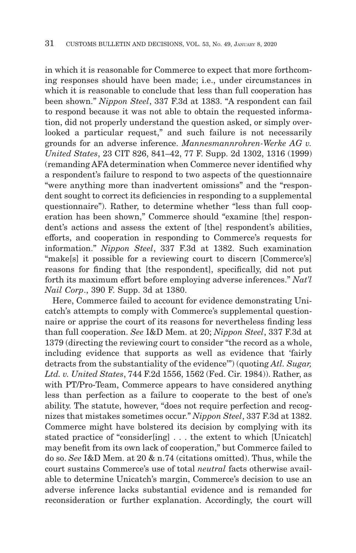in which it is reasonable for Commerce to expect that more forthcoming responses should have been made; i.e., under circumstances in which it is reasonable to conclude that less than full cooperation has been shown." *Nippon Steel*, 337 F.3d at 1383. "A respondent can fail to respond because it was not able to obtain the requested information, did not properly understand the question asked, or simply overlooked a particular request," and such failure is not necessarily grounds for an adverse inference. *Mannesmannrohren-Werke AG v. United States*, 23 CIT 826, 841–42, 77 F. Supp. 2d 1302, 1316 (1999) (remanding AFA determination when Commerce never identified why a respondent's failure to respond to two aspects of the questionnaire "were anything more than inadvertent omissions" and the "respondent sought to correct its deficiencies in responding to a supplemental questionnaire"). Rather, to determine whether "less than full cooperation has been shown," Commerce should "examine [the] respondent's actions and assess the extent of [the] respondent's abilities, efforts, and cooperation in responding to Commerce's requests for information." *Nippon Steel*, 337 F.3d at 1382. Such examination "make[s] it possible for a reviewing court to discern [Commerce's] reasons for finding that [the respondent], specifically, did not put forth its maximum effort before employing adverse inferences." *Nat'l Nail Corp*., 390 F. Supp. 3d at 1380.

Here, Commerce failed to account for evidence demonstrating Unicatch's attempts to comply with Commerce's supplemental questionnaire or apprise the court of its reasons for nevertheless finding less than full cooperation. *See* I&D Mem. at 20; *Nippon Steel*, 337 F.3d at 1379 (directing the reviewing court to consider "the record as a whole, including evidence that supports as well as evidence that 'fairly detracts from the substantiality of the evidence'") (quoting *Atl. Sugar, Ltd. v. United States*, 744 F.2d 1556, 1562 (Fed. Cir. 1984)). Rather, as with PT/Pro-Team, Commerce appears to have considered anything less than perfection as a failure to cooperate to the best of one's ability. The statute, however, "does not require perfection and recognizes that mistakes sometimes occur." *Nippon Steel*, 337 F.3d at 1382. Commerce might have bolstered its decision by complying with its stated practice of "consider[ing] . . . the extent to which [Unicatch] may benefit from its own lack of cooperation," but Commerce failed to do so. *See* I&D Mem. at 20 & n.74 (citations omitted). Thus, while the court sustains Commerce's use of total *neutral* facts otherwise available to determine Unicatch's margin, Commerce's decision to use an adverse inference lacks substantial evidence and is remanded for reconsideration or further explanation. Accordingly, the court will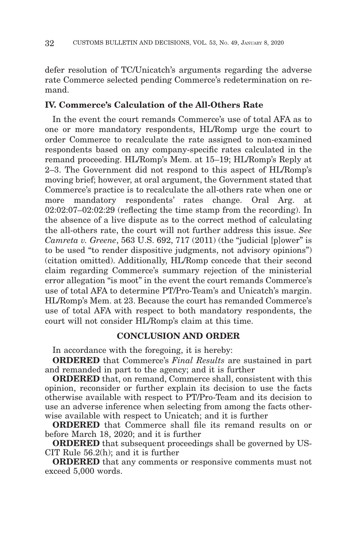defer resolution of TC/Unicatch's arguments regarding the adverse rate Commerce selected pending Commerce's redetermination on remand.

## **IV. Commerce's Calculation of the All-Others Rate**

In the event the court remands Commerce's use of total AFA as to one or more mandatory respondents, HL/Romp urge the court to order Commerce to recalculate the rate assigned to non-examined respondents based on any company-specific rates calculated in the remand proceeding. HL/Romp's Mem. at 15–19; HL/Romp's Reply at 2–3. The Government did not respond to this aspect of HL/Romp's moving brief; however, at oral argument, the Government stated that Commerce's practice is to recalculate the all-others rate when one or more mandatory respondents' rates change. Oral Arg. at 02:02:07–02:02:29 (reflecting the time stamp from the recording). In the absence of a live dispute as to the correct method of calculating the all-others rate, the court will not further address this issue. *See Camreta v. Greene*, 563 U.S. 692, 717 (2011) (the "judicial [p]ower" is to be used "to render dispositive judgments, not advisory opinions") (citation omitted). Additionally, HL/Romp concede that their second claim regarding Commerce's summary rejection of the ministerial error allegation "is moot" in the event the court remands Commerce's use of total AFA to determine PT/Pro-Team's and Unicatch's margin. HL/Romp's Mem. at 23. Because the court has remanded Commerce's use of total AFA with respect to both mandatory respondents, the court will not consider HL/Romp's claim at this time.

## **CONCLUSION AND ORDER**

In accordance with the foregoing, it is hereby:

**ORDERED** that Commerce's *Final Results* are sustained in part and remanded in part to the agency; and it is further

**ORDERED** that, on remand, Commerce shall, consistent with this opinion, reconsider or further explain its decision to use the facts otherwise available with respect to PT/Pro-Team and its decision to use an adverse inference when selecting from among the facts otherwise available with respect to Unicatch; and it is further

**ORDERED** that Commerce shall file its remand results on or before March 18, 2020; and it is further

**ORDERED** that subsequent proceedings shall be governed by US-CIT Rule 56.2(h); and it is further

**ORDERED** that any comments or responsive comments must not exceed 5,000 words.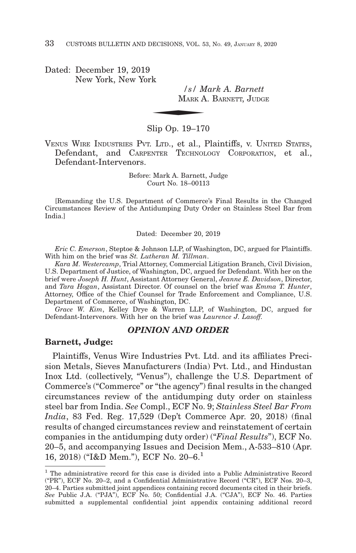Dated: December 19, 2019 New York, New York

*/s/ Mark A. Barnett*  $\frac{s}{M_{\text{ARK}}}$ MARK A. BARNETT, JUDGE

Slip Op. 19–170

VENUS WIRE INDUSTRIES PVT. LTD., et al., Plaintiffs, v. UNITED STATES, Defendant, and CARPENTER TECHNOLOGY CORPORATION, et al., Defendant-Intervenors.

> Before: Mark A. Barnett, Judge Court No. 18–00113

[Remanding the U.S. Department of Commerce's Final Results in the Changed Circumstances Review of the Antidumping Duty Order on Stainless Steel Bar from India.]

Dated: December 20, 2019

*Eric C. Emerson*, Steptoe & Johnson LLP, of Washington, DC, argued for Plaintiffs. With him on the brief was *St. Lutheran M. Tillman*.

*Kara M. Westercamp*, Trial Attorney, Commercial Litigation Branch, Civil Division, U.S. Department of Justice, of Washington, DC, argued for Defendant. With her on the brief were *Joseph H. Hunt*, Assistant Attorney General, *Jeanne E. Davidson*, Director, and *Tara Hogan*, Assistant Director. Of counsel on the brief was *Emma T. Hunter*, Attorney, Office of the Chief Counsel for Trade Enforcement and Compliance, U.S. Department of Commerce, of Washington, DC.

*Grace W. Kim*, Kelley Drye & Warren LLP, of Washington, DC, argued for Defendant-Intervenors. With her on the brief was *Laurence J. Lasoff.*

#### *OPINION AND ORDER*

#### **Barnett, Judge:**

Plaintiffs, Venus Wire Industries Pvt. Ltd. and its affiliates Precision Metals, Sieves Manufacturers (India) Pvt. Ltd., and Hindustan Inox Ltd. (collectively, "Venus"), challenge the U.S. Department of Commerce's ("Commerce" or "the agency") final results in the changed circumstances review of the antidumping duty order on stainless steel bar from India. *See* Compl., ECF No. 9; *Stainless Steel Bar From India*, 83 Fed. Reg. 17,529 (Dep't Commerce Apr. 20, 2018) (final results of changed circumstances review and reinstatement of certain companies in the antidumping duty order) ("*Final Results*"), ECF No. 20–5, and accompanying Issues and Decision Mem., A-533–810 (Apr. 16, 2018) ("I&D Mem."), ECF No. 20–6.1

 $<sup>1</sup>$  The administrative record for this case is divided into a Public Administrative Record</sup> ("PR"), ECF No. 20–2, and a Confidential Administrative Record ("CR"), ECF Nos. 20–3, 20–4. Parties submitted joint appendices containing record documents cited in their briefs. *See* Public J.A. ("PJA"), ECF No. 50; Confidential J.A. ("CJA"), ECF No. 46. Parties submitted a supplemental confidential joint appendix containing additional record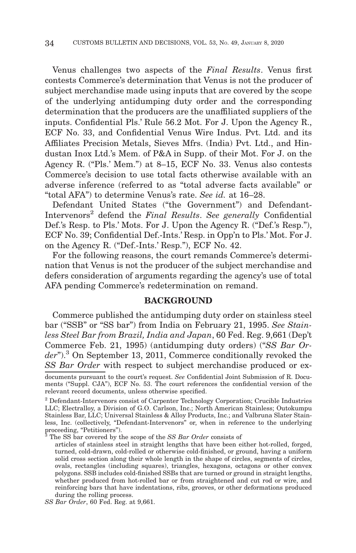Venus challenges two aspects of the *Final Results*. Venus first contests Commerce's determination that Venus is not the producer of subject merchandise made using inputs that are covered by the scope of the underlying antidumping duty order and the corresponding determination that the producers are the unaffiliated suppliers of the inputs. Confidential Pls.' Rule 56.2 Mot. For J. Upon the Agency R., ECF No. 33, and Confidential Venus Wire Indus. Pvt. Ltd. and its Affiliates Precision Metals, Sieves Mfrs. (India) Pvt. Ltd., and Hindustan Inox Ltd.'s Mem. of P&A in Supp. of their Mot. For J. on the Agency R. ("Pls.' Mem.") at 8–15, ECF No. 33. Venus also contests Commerce's decision to use total facts otherwise available with an adverse inference (referred to as "total adverse facts available" or "total AFA") to determine Venus's rate. *See id.* at 16–28.

Defendant United States ("the Government") and Defendant-Intervenors2 defend the *Final Results*. *See generally* Confidential Def.'s Resp. to Pls.' Mots. For J. Upon the Agency R. ("Def.'s Resp."), ECF No. 39; Confidential Def.-Ints.' Resp. in Opp'n to Pls.' Mot. For J. on the Agency R. ("Def.-Ints.' Resp."), ECF No. 42.

For the following reasons, the court remands Commerce's determination that Venus is not the producer of the subject merchandise and defers consideration of arguments regarding the agency's use of total AFA pending Commerce's redetermination on remand.

#### **BACKGROUND**

Commerce published the antidumping duty order on stainless steel bar ("SSB" or "SS bar") from India on February 21, 1995. *See Stainless Steel Bar from Brazil, India and Japan*, 60 Fed. Reg. 9,661 (Dep't Commerce Feb. 21, 1995) (antidumping duty orders) ("*SS Bar Order*").3 On September 13, 2011, Commerce conditionally revoked the *SS Bar Order* with respect to subject merchandise produced or ex-

documents pursuant to the court's request. *See* Confidential Joint Submission of R. Documents ("Suppl. CJA"), ECF No. 53. The court references the confidential version of the relevant record documents, unless otherwise specified.

<sup>2</sup> Defendant-Intervenors consist of Carpenter Technology Corporation; Crucible Industries LLC; Electralloy, a Division of G.O. Carlson, Inc.; North American Stainless; Outokumpu Stainless Bar, LLC; Universal Stainless & Alloy Products, Inc.; and Valbruna Slater Stainless, Inc. (collectively, "Defendant-Intervenors" or, when in reference to the underlying proceeding, "Petitioners").

<sup>3</sup> The SS bar covered by the scope of the *SS Bar Order* consists of

articles of stainless steel in straight lengths that have been either hot-rolled, forged, turned, cold-drawn, cold-rolled or otherwise cold-finished, or ground, having a uniform solid cross section along their whole length in the shape of circles, segments of circles, ovals, rectangles (including squares), triangles, hexagons, octagons or other convex polygons. SSB includes cold-finished SSBs that are turned or ground in straight lengths, whether produced from hot-rolled bar or from straightened and cut rod or wire, and reinforcing bars that have indentations, ribs, grooves, or other deformations produced during the rolling process.

*SS Bar Order*, 60 Fed. Reg. at 9,661.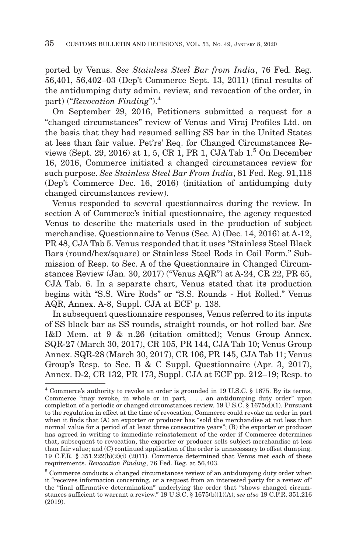ported by Venus. *See Stainless Steel Bar from India*, 76 Fed. Reg. 56,401, 56,402–03 (Dep't Commerce Sept. 13, 2011) (final results of the antidumping duty admin. review, and revocation of the order, in part) ("*Revocation Finding*").<sup>4</sup>

On September 29, 2016, Petitioners submitted a request for a "changed circumstances" review of Venus and Viraj Profiles Ltd. on the basis that they had resumed selling SS bar in the United States at less than fair value. Pet'rs' Req. for Changed Circumstances Reviews (Sept. 29, 2016) at 1, 5, CR 1, PR 1, CJA Tab 1.5 On December 16, 2016, Commerce initiated a changed circumstances review for such purpose. *See Stainless Steel Bar From India*, 81 Fed. Reg. 91,118 (Dep't Commerce Dec. 16, 2016) (initiation of antidumping duty changed circumstances review).

Venus responded to several questionnaires during the review. In section A of Commerce's initial questionnaire, the agency requested Venus to describe the materials used in the production of subject merchandise. Questionnaire to Venus (Sec. A) (Dec. 14, 2016) at A-12, PR 48, CJA Tab 5. Venus responded that it uses "Stainless Steel Black Bars (round/hex/square) or Stainless Steel Rods in Coil Form." Submission of Resp. to Sec. A of the Questionnaire in Changed Circumstances Review (Jan. 30, 2017) ("Venus AQR") at A-24, CR 22, PR 65, CJA Tab. 6. In a separate chart, Venus stated that its production begins with "S.S. Wire Rods" or "S.S. Rounds - Hot Rolled." Venus AQR, Annex. A-8, Suppl. CJA at ECF p. 138.

In subsequent questionnaire responses, Venus referred to its inputs of SS black bar as SS rounds, straight rounds, or hot rolled bar. *See* I&D Mem. at 9 & n.26 (citation omitted); Venus Group Annex. SQR-27 (March 30, 2017), CR 105, PR 144, CJA Tab 10; Venus Group Annex. SQR-28 (March 30, 2017), CR 106, PR 145, CJA Tab 11; Venus Group's Resp. to Sec. B & C Suppl. Questionnaire (Apr. 3, 2017), Annex. D-2, CR 132, PR 173, Suppl. CJA at ECF pp. 212–19; Resp. to

<sup>4</sup> Commerce's authority to revoke an order is grounded in 19 U.S.C. § 1675. By its terms, Commerce "may revoke, in whole or in part, . . . an antidumping duty order" upon completion of a periodic or changed circumstances review. 19 U.S.C. § 1675(d)(1). Pursuant to the regulation in effect at the time of revocation, Commerce could revoke an order in part when it finds that (A) an exporter or producer has "sold the merchandise at not less than normal value for a period of at least three consecutive years"; (B) the exporter or producer has agreed in writing to immediate reinstatement of the order if Commerce determines that, subsequent to revocation, the exporter or producer sells subject merchandise at less than fair value; and (C) continued application of the order is unnecessary to offset dumping. 19 C.F.R. § 351.222(b)(2)(i) (2011). Commerce determined that Venus met each of these requirements. *Revocation Finding*, 76 Fed. Reg. at 56,403.

<sup>5</sup> Commerce conducts a changed circumstances review of an antidumping duty order when it "receives information concerning, or a request from an interested party for a review of" the "final affirmative determination" underlying the order that "shows changed circumstances sufficient to warrant a review." 19 U.S.C. § 1675(b)(1)(A); *see also* 19 C.F.R. 351.216 (2019).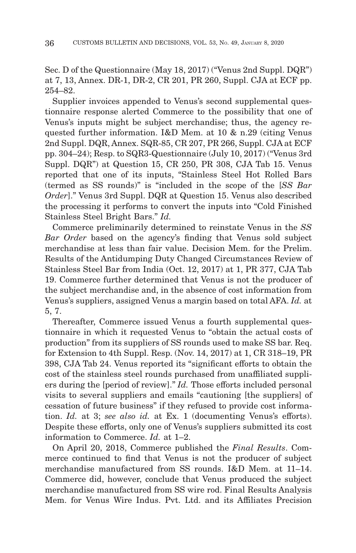Sec. D of the Questionnaire (May 18, 2017) ("Venus 2nd Suppl. DQR") at 7, 13, Annex. DR-1, DR-2, CR 201, PR 260, Suppl. CJA at ECF pp. 254–82.

Supplier invoices appended to Venus's second supplemental questionnaire response alerted Commerce to the possibility that one of Venus's inputs might be subject merchandise; thus, the agency requested further information. I&D Mem. at 10 & n.29 (citing Venus 2nd Suppl. DQR, Annex. SQR-85, CR 207, PR 266, Suppl. CJA at ECF pp. 304–24); Resp. to SQR3-Questionnaire (July 10, 2017) ("Venus 3rd Suppl. DQR") at Question 15, CR 250, PR 308, CJA Tab 15. Venus reported that one of its inputs, "Stainless Steel Hot Rolled Bars (termed as SS rounds)" is "included in the scope of the [*SS Bar Order*]." Venus 3rd Suppl. DQR at Question 15. Venus also described the processing it performs to convert the inputs into "Cold Finished Stainless Steel Bright Bars." *Id.*

Commerce preliminarily determined to reinstate Venus in the *SS Bar Order* based on the agency's finding that Venus sold subject merchandise at less than fair value. Decision Mem. for the Prelim. Results of the Antidumping Duty Changed Circumstances Review of Stainless Steel Bar from India (Oct. 12, 2017) at 1, PR 377, CJA Tab 19. Commerce further determined that Venus is not the producer of the subject merchandise and, in the absence of cost information from Venus's suppliers, assigned Venus a margin based on total AFA. *Id.* at 5, 7.

Thereafter, Commerce issued Venus a fourth supplemental questionnaire in which it requested Venus to "obtain the actual costs of production" from its suppliers of SS rounds used to make SS bar. Req. for Extension to 4th Suppl. Resp. (Nov. 14, 2017) at 1, CR 318–19, PR 398, CJA Tab 24. Venus reported its "significant efforts to obtain the cost of the stainless steel rounds purchased from unaffiliated suppliers during the [period of review]." *Id.* Those efforts included personal visits to several suppliers and emails "cautioning [the suppliers] of cessation of future business" if they refused to provide cost information. *Id.* at 3; *see also id.* at Ex. 1 (documenting Venus's efforts). Despite these efforts, only one of Venus's suppliers submitted its cost information to Commerce. *Id.* at 1–2.

On April 20, 2018, Commerce published the *Final Results*. Commerce continued to find that Venus is not the producer of subject merchandise manufactured from SS rounds. I&D Mem. at 11–14. Commerce did, however, conclude that Venus produced the subject merchandise manufactured from SS wire rod. Final Results Analysis Mem. for Venus Wire Indus. Pvt. Ltd. and its Affiliates Precision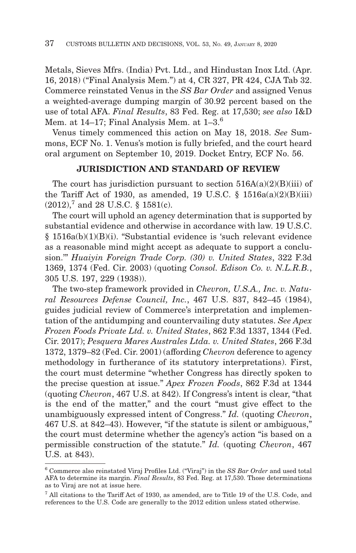Metals, Sieves Mfrs. (India) Pvt. Ltd., and Hindustan Inox Ltd. (Apr. 16, 2018) ("Final Analysis Mem.") at 4, CR 327, PR 424, CJA Tab 32. Commerce reinstated Venus in the *SS Bar Order* and assigned Venus a weighted-average dumping margin of 30.92 percent based on the use of total AFA. *Final Results*, 83 Fed. Reg. at 17,530; *see also* I&D Mem. at  $14-17$ ; Final Analysis Mem. at  $1-3$ .<sup>6</sup>

Venus timely commenced this action on May 18, 2018. *See* Summons, ECF No. 1. Venus's motion is fully briefed, and the court heard oral argument on September 10, 2019. Docket Entry, ECF No. 56.

## **JURISDICTION AND STANDARD OF REVIEW**

The court has jurisdiction pursuant to section  $516A(a)(2)(B)(iii)$  of the Tariff Act of 1930, as amended, 19 U.S.C.  $\S$  1516a(a)(2)(B)(iii)  $(2012)$ , and 28 U.S.C. § 1581(c).

The court will uphold an agency determination that is supported by substantial evidence and otherwise in accordance with law. 19 U.S.C. § 1516a(b)(1)(B)(i). "Substantial evidence is 'such relevant evidence as a reasonable mind might accept as adequate to support a conclusion.'" *Huaiyin Foreign Trade Corp. (30) v. United States*, 322 F.3d 1369, 1374 (Fed. Cir. 2003) (quoting *Consol. Edison Co. v. N.L.R.B.*, 305 U.S. 197, 229 (1938)).

The two-step framework provided in *Chevron, U.S.A., Inc. v. Natural Resources Defense Council, Inc.*, 467 U.S. 837, 842–45 (1984), guides judicial review of Commerce's interpretation and implementation of the antidumping and countervailing duty statutes. *See Apex Frozen Foods Private Ltd. v. United States*, 862 F.3d 1337, 1344 (Fed. Cir. 2017); *Pesquera Mares Australes Ltda. v. United States*, 266 F.3d 1372, 1379–82 (Fed. Cir. 2001) (affording *Chevron* deference to agency methodology in furtherance of its statutory interpretations). First, the court must determine "whether Congress has directly spoken to the precise question at issue." *Apex Frozen Foods*, 862 F.3d at 1344 (quoting *Chevron*, 467 U.S. at 842). If Congress's intent is clear, "that is the end of the matter," and the court "must give effect to the unambiguously expressed intent of Congress." *Id.* (quoting *Chevron*, 467 U.S. at 842–43). However, "if the statute is silent or ambiguous," the court must determine whether the agency's action "is based on a permissible construction of the statute." *Id.* (quoting *Chevron*, 467 U.S. at 843).

<sup>6</sup> Commerce also reinstated Viraj Profiles Ltd. ("Viraj") in the *SS Bar Order* and used total AFA to determine its margin. *Final Results*, 83 Fed. Reg. at 17,530. Those determinations as to Viraj are not at issue here.

<sup>7</sup> All citations to the Tariff Act of 1930, as amended, are to Title 19 of the U.S. Code, and references to the U.S. Code are generally to the 2012 edition unless stated otherwise.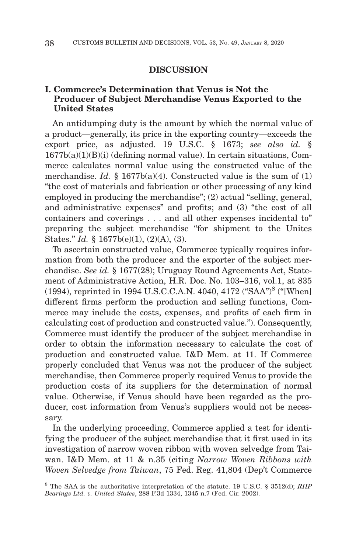#### **DISCUSSION**

# **I. Commerce's Determination that Venus is Not the Producer of Subject Merchandise Venus Exported to the United States**

An antidumping duty is the amount by which the normal value of a product—generally, its price in the exporting country—exceeds the export price, as adjusted. 19 U.S.C. § 1673; *see also id.* §  $1677b(a)(1)(B)(i)$  (defining normal value). In certain situations, Commerce calculates normal value using the constructed value of the merchandise. *Id.* § 1677b(a)(4). Constructed value is the sum of (1) "the cost of materials and fabrication or other processing of any kind employed in producing the merchandise"; (2) actual "selling, general, and administrative expenses" and profits; and (3) "the cost of all containers and coverings . . . and all other expenses incidental to" preparing the subject merchandise "for shipment to the Unites States." *Id.* § 1677b(e)(1), (2)(A), (3).

To ascertain constructed value, Commerce typically requires information from both the producer and the exporter of the subject merchandise. *See id.* § 1677(28); Uruguay Round Agreements Act, Statement of Administrative Action, H.R. Doc. No. 103–316, vol.1, at 835 (1994), reprinted in 1994 U.S.C.C.A.N. 4040, 4172 ("SAA")8 ("[When] different firms perform the production and selling functions, Commerce may include the costs, expenses, and profits of each firm in calculating cost of production and constructed value."). Consequently, Commerce must identify the producer of the subject merchandise in order to obtain the information necessary to calculate the cost of production and constructed value. I&D Mem. at 11. If Commerce properly concluded that Venus was not the producer of the subject merchandise, then Commerce properly required Venus to provide the production costs of its suppliers for the determination of normal value. Otherwise, if Venus should have been regarded as the producer, cost information from Venus's suppliers would not be necessary.

In the underlying proceeding, Commerce applied a test for identifying the producer of the subject merchandise that it first used in its investigation of narrow woven ribbon with woven selvedge from Taiwan. I&D Mem. at 11 & n.35 (citing *Narrow Woven Ribbons with Woven Selvedge from Taiwan*, 75 Fed. Reg. 41,804 (Dep't Commerce

<sup>8</sup> The SAA is the authoritative interpretation of the statute. 19 U.S.C. § 3512(d); *RHP Bearings Ltd. v. United States*, 288 F.3d 1334, 1345 n.7 (Fed. Cir. 2002).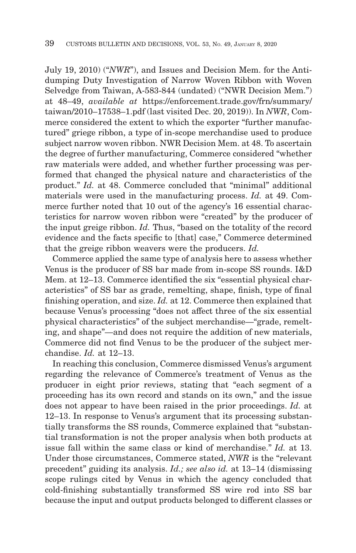July 19, 2010) ("*NWR*"), and Issues and Decision Mem. for the Antidumping Duty Investigation of Narrow Woven Ribbon with Woven Selvedge from Taiwan, A-583-844 (undated) ("NWR Decision Mem.") at 48–49, *available at* https://enforcement.trade.gov/frn/summary/ taiwan/2010–17538–1.pdf (last visited Dec. 20, 2019)). In *NWR*, Commerce considered the extent to which the exporter "further manufactured" griege ribbon, a type of in-scope merchandise used to produce subject narrow woven ribbon. NWR Decision Mem. at 48. To ascertain the degree of further manufacturing, Commerce considered "whether raw materials were added, and whether further processing was performed that changed the physical nature and characteristics of the product." *Id.* at 48. Commerce concluded that "minimal" additional materials were used in the manufacturing process. *Id.* at 49. Commerce further noted that 10 out of the agency's 16 essential characteristics for narrow woven ribbon were "created" by the producer of the input greige ribbon. *Id.* Thus, "based on the totality of the record evidence and the facts specific to [that] case," Commerce determined that the greige ribbon weavers were the producers. *Id.*

Commerce applied the same type of analysis here to assess whether Venus is the producer of SS bar made from in-scope SS rounds. I&D Mem. at 12–13. Commerce identified the six "essential physical characteristics" of SS bar as grade, remelting, shape, finish, type of final finishing operation, and size. *Id.* at 12. Commerce then explained that because Venus's processing "does not affect three of the six essential physical characteristics" of the subject merchandise—"grade, remelting, and shape"—and does not require the addition of new materials, Commerce did not find Venus to be the producer of the subject merchandise. *Id.* at 12–13.

In reaching this conclusion, Commerce dismissed Venus's argument regarding the relevance of Commerce's treatment of Venus as the producer in eight prior reviews, stating that "each segment of a proceeding has its own record and stands on its own," and the issue does not appear to have been raised in the prior proceedings. *Id.* at 12–13. In response to Venus's argument that its processing substantially transforms the SS rounds, Commerce explained that "substantial transformation is not the proper analysis when both products at issue fall within the same class or kind of merchandise." *Id.* at 13. Under those circumstances, Commerce stated, *NWR* is the "relevant precedent" guiding its analysis. *Id.; see also id.* at 13–14 (dismissing scope rulings cited by Venus in which the agency concluded that cold-finishing substantially transformed SS wire rod into SS bar because the input and output products belonged to different classes or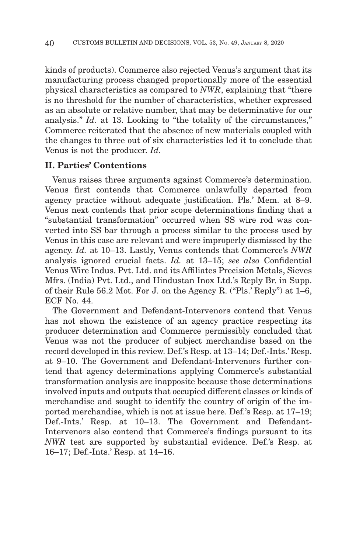kinds of products). Commerce also rejected Venus's argument that its manufacturing process changed proportionally more of the essential physical characteristics as compared to *NWR*, explaining that "there is no threshold for the number of characteristics, whether expressed as an absolute or relative number, that may be determinative for our analysis." *Id.* at 13. Looking to "the totality of the circumstances," Commerce reiterated that the absence of new materials coupled with the changes to three out of six characteristics led it to conclude that Venus is not the producer. *Id.*

## **II. Parties' Contentions**

Venus raises three arguments against Commerce's determination. Venus first contends that Commerce unlawfully departed from agency practice without adequate justification. Pls.' Mem. at 8–9. Venus next contends that prior scope determinations finding that a "substantial transformation" occurred when SS wire rod was converted into SS bar through a process similar to the process used by Venus in this case are relevant and were improperly dismissed by the agency. *Id.* at 10–13. Lastly, Venus contends that Commerce's *NWR* analysis ignored crucial facts. *Id.* at 13–15; *see also* Confidential Venus Wire Indus. Pvt. Ltd. and its Affiliates Precision Metals, Sieves Mfrs. (India) Pvt. Ltd., and Hindustan Inox Ltd.'s Reply Br. in Supp. of their Rule 56.2 Mot. For J. on the Agency R. ("Pls.' Reply") at 1–6, ECF No. 44

The Government and Defendant-Intervenors contend that Venus has not shown the existence of an agency practice respecting its producer determination and Commerce permissibly concluded that Venus was not the producer of subject merchandise based on the record developed in this review. Def.'s Resp. at 13–14; Def.-Ints.' Resp. at 9–10. The Government and Defendant-Intervenors further contend that agency determinations applying Commerce's substantial transformation analysis are inapposite because those determinations involved inputs and outputs that occupied different classes or kinds of merchandise and sought to identify the country of origin of the imported merchandise, which is not at issue here. Def.'s Resp. at 17–19; Def.-Ints.' Resp. at 10–13. The Government and Defendant-Intervenors also contend that Commerce's findings pursuant to its *NWR* test are supported by substantial evidence. Def.'s Resp. at 16–17; Def.-Ints.' Resp. at 14–16.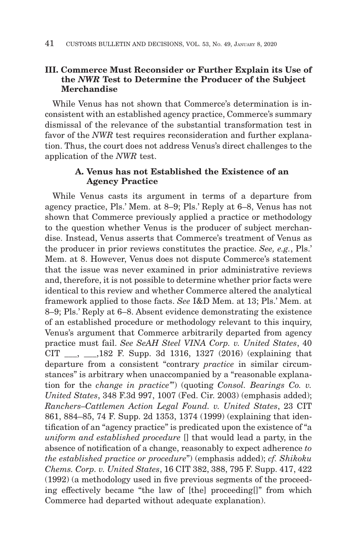# **III. Commerce Must Reconsider or Further Explain its Use of the** *NWR* **Test to Determine the Producer of the Subject Merchandise**

While Venus has not shown that Commerce's determination is inconsistent with an established agency practice, Commerce's summary dismissal of the relevance of the substantial transformation test in favor of the *NWR* test requires reconsideration and further explanation. Thus, the court does not address Venus's direct challenges to the application of the *NWR* test.

## **A. Venus has not Established the Existence of an Agency Practice**

While Venus casts its argument in terms of a departure from agency practice, Pls.' Mem. at 8–9; Pls.' Reply at 6–8, Venus has not shown that Commerce previously applied a practice or methodology to the question whether Venus is the producer of subject merchandise. Instead, Venus asserts that Commerce's treatment of Venus as the producer in prior reviews constitutes the practice. *See, e.g.*, Pls.' Mem. at 8. However, Venus does not dispute Commerce's statement that the issue was never examined in prior administrative reviews and, therefore, it is not possible to determine whether prior facts were identical to this review and whether Commerce altered the analytical framework applied to those facts. *See* I&D Mem. at 13; Pls.' Mem. at 8–9; Pls.' Reply at 6–8. Absent evidence demonstrating the existence of an established procedure or methodology relevant to this inquiry, Venus's argument that Commerce arbitrarily departed from agency practice must fail. *See SeAH Steel VINA Corp. v. United States*, 40 CIT \_\_\_, \_\_\_,182 F. Supp. 3d 1316, 1327 (2016) (explaining that departure from a consistent "contrary *practice* in similar circumstances" is arbitrary when unaccompanied by a "reasonable explanation for the *change in practice'*") (quoting *Consol. Bearings Co. v. United States*, 348 F.3d 997, 1007 (Fed. Cir. 2003) (emphasis added); *Ranchers–Cattlemen Action Legal Found. v. United States*, 23 CIT 861, 884–85, 74 F. Supp. 2d 1353, 1374 (1999) (explaining that identification of an "agency practice" is predicated upon the existence of "a *uniform and established procedure* [] that would lead a party, in the absence of notification of a change, reasonably to expect adherence *to the established practice or procedure*") (emphasis added); *cf. Shikoku Chems. Corp. v. United States*, 16 CIT 382, 388, 795 F. Supp. 417, 422 (1992) (a methodology used in five previous segments of the proceeding effectively became "the law of [the] proceeding[]" from which Commerce had departed without adequate explanation).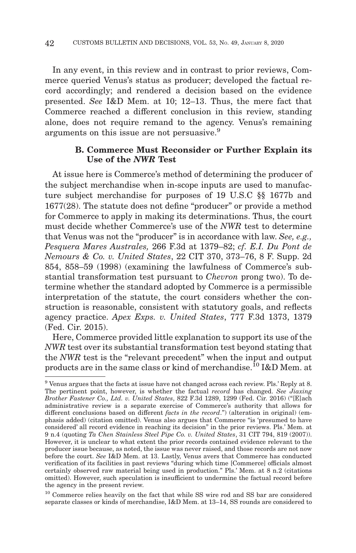In any event, in this review and in contrast to prior reviews, Commerce queried Venus's status as producer; developed the factual record accordingly; and rendered a decision based on the evidence presented. *See* I&D Mem. at 10; 12–13. Thus, the mere fact that Commerce reached a different conclusion in this review, standing alone, does not require remand to the agency. Venus's remaining arguments on this issue are not persuasive.<sup>9</sup>

# **B. Commerce Must Reconsider or Further Explain its Use of the** *NWR* **Test**

At issue here is Commerce's method of determining the producer of the subject merchandise when in-scope inputs are used to manufacture subject merchandise for purposes of 19 U.S.C §§ 1677b and 1677(28). The statute does not define "producer" or provide a method for Commerce to apply in making its determinations. Thus, the court must decide whether Commerce's use of the *NWR* test to determine that Venus was not the "producer" is in accordance with law. *See, e.g., Pesquera Mares Australes,* 266 F.3d at 1379–82; *cf. E.I. Du Pont de Nemours & Co. v. United States*, 22 CIT 370, 373–76, 8 F. Supp. 2d 854, 858–59 (1998) (examining the lawfulness of Commerce's substantial transformation test pursuant to *Chevron* prong two). To determine whether the standard adopted by Commerce is a permissible interpretation of the statute, the court considers whether the construction is reasonable, consistent with statutory goals, and reflects agency practice. *Apex Exps. v. United States*, 777 F.3d 1373, 1379 (Fed. Cir. 2015).

Here, Commerce provided little explanation to support its use of the *NWR* test over its substantial transformation test beyond stating that the *NWR* test is the "relevant precedent" when the input and output products are in the same class or kind of merchandise.10 I&D Mem. at

<sup>9</sup> Venus argues that the facts at issue have not changed across each review. Pls.' Reply at 8. The pertinent point, however, is whether the factual *record* has changed. *See Jiaxing Brother Fastener Co., Ltd. v. United States*, 822 F.3d 1289, 1299 (Fed. Cir. 2016) ("[E]ach administrative review is a separate exercise of Commerce's authority that allows for different conclusions based on different *facts in the record*.") (alteration in original) (emphasis added) (citation omitted). Venus also argues that Commerce "is 'presumed to have considered' all record evidence in reaching its decision" in the prior reviews. Pls.' Mem. at 9 n.4 (quoting *Ta Chen Stainless Steel Pipe Co. v. United States*, 31 CIT 794, 819 (2007)). However, it is unclear to what extent the prior records contained evidence relevant to the producer issue because, as noted, the issue was never raised, and those records are not now before the court. *See* I&D Mem. at 13. Lastly, Venus avers that Commerce has conducted verification of its facilities in past reviews "during which time [Commerce] officials almost certainly observed raw material being used in production." Pls.' Mem. at 8 n.2 (citations omitted). However, such speculation is insufficient to undermine the factual record before the agency in the present review.

<sup>10</sup> Commerce relies heavily on the fact that while SS wire rod and SS bar are considered separate classes or kinds of merchandise, I&D Mem. at 13–14, SS rounds are considered to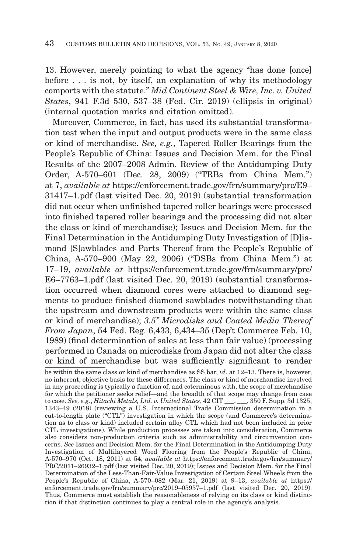13. However, merely pointing to what the agency "has done [once] before . . . is not, by itself, an explanation of why its methodology comports with the statute." *Mid Continent Steel & Wire, Inc. v. United States*, 941 F.3d 530, 537–38 (Fed. Cir. 2019) (ellipsis in original) (internal quotation marks and citation omitted).

Moreover, Commerce, in fact, has used its substantial transformation test when the input and output products were in the same class or kind of merchandise. *See, e.g.*, Tapered Roller Bearings from the People's Republic of China: Issues and Decision Mem. for the Final Results of the 2007–2008 Admin. Review of the Antidumping Duty Order, A-570–601 (Dec. 28, 2009) ("TRBs from China Mem.") at 7, *available at* https://enforcement.trade.gov/frn/summary/prc/E9– 31417–1.pdf (last visited Dec. 20, 2019) (substantial transformation did not occur when unfinished tapered roller bearings were processed into finished tapered roller bearings and the processing did not alter the class or kind of merchandise); Issues and Decision Mem. for the Final Determination in the Antidumping Duty Investigation of [D]iamond [S]awblades and Parts Thereof from the People's Republic of China, A-570–900 (May 22, 2006) ("DSBs from China Mem.") at 17–19, *available at* https://enforcement.trade.gov/frn/summary/prc/ E6–7763–1.pdf (last visited Dec. 20, 2019) (substantial transformation occurred when diamond cores were attached to diamond segments to produce finished diamond sawblades notwithstanding that the upstream and downstream products were within the same class or kind of merchandise); *3.5'' Microdisks and Coated Media Thereof From Japan*, 54 Fed. Reg. 6,433, 6,434–35 (Dep't Commerce Feb. 10, 1989) (final determination of sales at less than fair value) (processing performed in Canada on microdisks from Japan did not alter the class or kind of merchandise but was sufficiently significant to render

be within the same class or kind of merchandise as SS bar, *id*. at 12–13. There is, however, no inherent, objective basis for these differences. The class or kind of merchandise involved in any proceeding is typically a function of, and coterminous with, the scope of merchandise for which the petitioner seeks relief—and the breadth of that scope may change from case to case. *See, e.g.*, *Hitachi Metals, Ltd. v. United States*, 42 CIT \_\_\_, \_\_\_, 350 F. Supp. 3d 1325, 1343–49 (2018) (reviewing a U.S. International Trade Commission determination in a cut-to-length plate ("CTL") investigation in which the scope (and Commerce's determination as to class or kind) included certain alloy CTL which had not been included in prior CTL investigations). While production processes are taken into consideration, Commerce also considers non-production criteria such as administrability and circumvention concerns. *See* Issues and Decision Mem. for the Final Determination in the Antidumping Duty Investigation of Multilayered Wood Flooring from the People's Republic of China, A-570–970 (Oct. 18, 2011) at 54, *available at* https://enforcement.trade.gov/frn/summary/ PRC/2011–26932–1.pdf (last visited Dec. 20, 2019); Issues and Decision Mem. for the Final Determination of the Less-Than-Fair-Value Investigation of Certain Steel Wheels from the People's Republic of China, A-570–082 (Mar. 21, 2019) at 9–13, *available at* https:// enforcement.trade.gov/frn/summary/prc/2019–05957–1.pdf (last visited Dec. 20, 2019). Thus, Commerce must establish the reasonableness of relying on its class or kind distinction if that distinction continues to play a central role in the agency's analysis.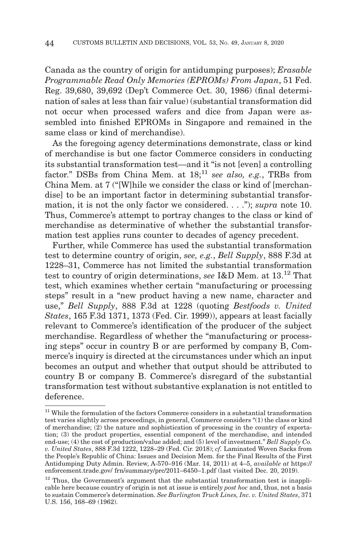Canada as the country of origin for antidumping purposes); *Erasable Programmable Read Only Memories (EPROMs) From Japan*, 51 Fed. Reg. 39,680, 39,692 (Dep't Commerce Oct. 30, 1986) (final determination of sales at less than fair value) (substantial transformation did not occur when processed wafers and dice from Japan were assembled into finished EPROMs in Singapore and remained in the same class or kind of merchandise).

As the foregoing agency determinations demonstrate, class or kind of merchandise is but one factor Commerce considers in conducting its substantial transformation test—and it "is not [even] a controlling factor." DSBs from China Mem. at  $18$ <sup>11</sup> see also, e.g., TRBs from China Mem. at 7 ("[W]hile we consider the class or kind of [merchandise] to be an important factor in determining substantial transformation, it is not the only factor we considered. . . ."); *supra* note 10. Thus, Commerce's attempt to portray changes to the class or kind of merchandise as determinative of whether the substantial transformation test applies runs counter to decades of agency precedent.

Further, while Commerce has used the substantial transformation test to determine country of origin, *see, e.g.*, *Bell Supply*, 888 F.3d at 1228–31, Commerce has not limited the substantial transformation test to country of origin determinations, *see* I&D Mem. at 13.12 That test, which examines whether certain "manufacturing or processing steps" result in a "new product having a new name, character and use," *Bell Supply*, 888 F.3d at 1228 (quoting *Bestfoods v. United States*, 165 F.3d 1371, 1373 (Fed. Cir. 1999)), appears at least facially relevant to Commerce's identification of the producer of the subject merchandise. Regardless of whether the "manufacturing or processing steps" occur in country B or are performed by company B, Commerce's inquiry is directed at the circumstances under which an input becomes an output and whether that output should be attributed to country B or company B. Commerce's disregard of the substantial transformation test without substantive explanation is not entitled to deference.

<sup>&</sup>lt;sup>11</sup> While the formulation of the factors Commerce considers in a substantial transformation test varies slightly across proceedings, in general, Commerce considers "(1) the class or kind of merchandise; (2) the nature and sophistication of processing in the country of exportation; (3) the product properties, essential component of the merchandise, and intended end-use; (4) the cost of production/value added; and (5) level of investment." *Bell Supply Co. v. United States*, 888 F.3d 1222, 1228–29 (Fed. Cir. 2018); *cf.* Laminated Woven Sacks from the People's Republic of China: Issues and Decision Mem. for the Final Results of the First Antidumping Duty Admin. Review, A-570–916 (Mar. 14, 2011) at 4–5, *available at* https:// enforcement.trade.gov/ frn/summary/prc/2011–6450–1.pdf (last visited Dec. 20, 2019).

 $12$  Thus, the Government's argument that the substantial transformation test is inapplicable here because country of origin is not at issue is entirely *post hoc* and, thus, not a basis to sustain Commerce's determination. *See Burlington Truck Lines, Inc. v. United States*, 371 U.S. 156, 168–69 (1962).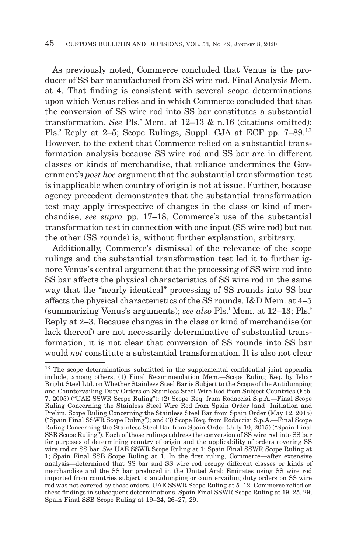As previously noted, Commerce concluded that Venus is the producer of SS bar manufactured from SS wire rod. Final Analysis Mem. at 4. That finding is consistent with several scope determinations upon which Venus relies and in which Commerce concluded that that the conversion of SS wire rod into SS bar constitutes a substantial transformation. *See* Pls.' Mem. at 12–13 & n.16 (citations omitted); Pls.' Reply at 2–5; Scope Rulings, Suppl. CJA at ECF pp. 7–89.<sup>13</sup> However, to the extent that Commerce relied on a substantial transformation analysis because SS wire rod and SS bar are in different classes or kinds of merchandise, that reliance undermines the Government's *post hoc* argument that the substantial transformation test is inapplicable when country of origin is not at issue. Further, because agency precedent demonstrates that the substantial transformation test may apply irrespective of changes in the class or kind of merchandise, *see supra* pp. 17–18, Commerce's use of the substantial transformation test in connection with one input (SS wire rod) but not the other (SS rounds) is, without further explanation, arbitrary.

Additionally, Commerce's dismissal of the relevance of the scope rulings and the substantial transformation test led it to further ignore Venus's central argument that the processing of SS wire rod into SS bar affects the physical characteristics of SS wire rod in the same way that the "nearly identical" processing of SS rounds into SS bar affects the physical characteristics of the SS rounds. I&D Mem. at 4–5 (summarizing Venus's arguments); *see also* Pls.' Mem. at 12–13; Pls.' Reply at 2–3. Because changes in the class or kind of merchandise (or lack thereof) are not necessarily determinative of substantial transformation, it is not clear that conversion of SS rounds into SS bar would *not* constitute a substantial transformation. It is also not clear

<sup>&</sup>lt;sup>13</sup> The scope determinations submitted in the supplemental confidential joint appendix include, among others, (1) Final Recommendation Mem.—Scope Ruling Req. by Ishar Bright Steel Ltd. on Whether Stainless Steel Bar is Subject to the Scope of the Antidumping and Countervailing Duty Orders on Stainless Steel Wire Rod from Subject Countries (Feb. 7, 2005) ("UAE SSWR Scope Ruling"); (2) Scope Req. from Rodacciai S.p.A.—Final Scope Ruling Concerning the Stainless Steel Wire Rod from Spain Order [and] Initiation and Prelim. Scope Ruling Concerning the Stainless Steel Bar from Spain Order (May 12, 2015) ("Spain Final SSWR Scope Ruling"); and (3) Scope Req. from Rodacciai S.p.A.—Final Scope Ruling Concerning the Stainless Steel Bar from Spain Order (July 10, 2015) ("Spain Final SSB Scope Ruling"). Each of those rulings address the conversion of SS wire rod into SS bar for purposes of determining country of origin and the applicability of orders covering SS wire rod or SS bar. *See* UAE SSWR Scope Ruling at 1; Spain Final SSWR Scope Ruling at 1; Spain Final SSB Scope Ruling at  $\hat{1}$ . In the first ruling, Commerce—after extensive analysis—determined that SS bar and SS wire rod occupy different classes or kinds of merchandise and the SS bar produced in the United Arab Emirates using SS wire rod imported from countries subject to antidumping or countervailing duty orders on SS wire rod was not covered by those orders. UAE SSWR Scope Ruling at 5–12. Commerce relied on these findings in subsequent determinations. Spain Final SSWR Scope Ruling at 19–25, 29; Spain Final SSB Scope Ruling at 19–24, 26–27, 29.